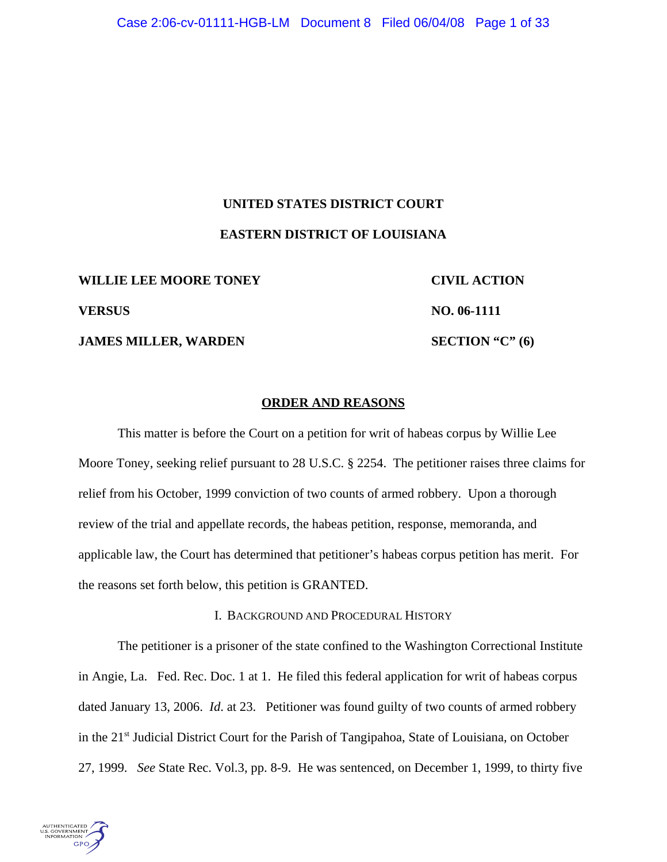# **UNITED STATES DISTRICT COURT EASTERN DISTRICT OF LOUISIANA**

WILLIE LEE MOORE TONEY **CIVIL ACTION VERSUS NO. 06-1111**

**JAMES MILLER, WARDEN SECTION "C" (6)** 

# **ORDER AND REASONS**

This matter is before the Court on a petition for writ of habeas corpus by Willie Lee Moore Toney, seeking relief pursuant to 28 U.S.C. § 2254. The petitioner raises three claims for relief from his October, 1999 conviction of two counts of armed robbery. Upon a thorough review of the trial and appellate records, the habeas petition, response, memoranda, and applicable law, the Court has determined that petitioner's habeas corpus petition has merit. For the reasons set forth below, this petition is GRANTED.

#### I. BACKGROUND AND PROCEDURAL HISTORY

The petitioner is a prisoner of the state confined to the Washington Correctional Institute in Angie, La. Fed. Rec. Doc. 1 at 1. He filed this federal application for writ of habeas corpus dated January 13, 2006. *Id*. at 23. Petitioner was found guilty of two counts of armed robbery in the 21<sup>st</sup> Judicial District Court for the Parish of Tangipahoa, State of Louisiana, on October 27, 1999. *See* State Rec. Vol.3, pp. 8-9. He was sentenced, on December 1, 1999, to thirty five

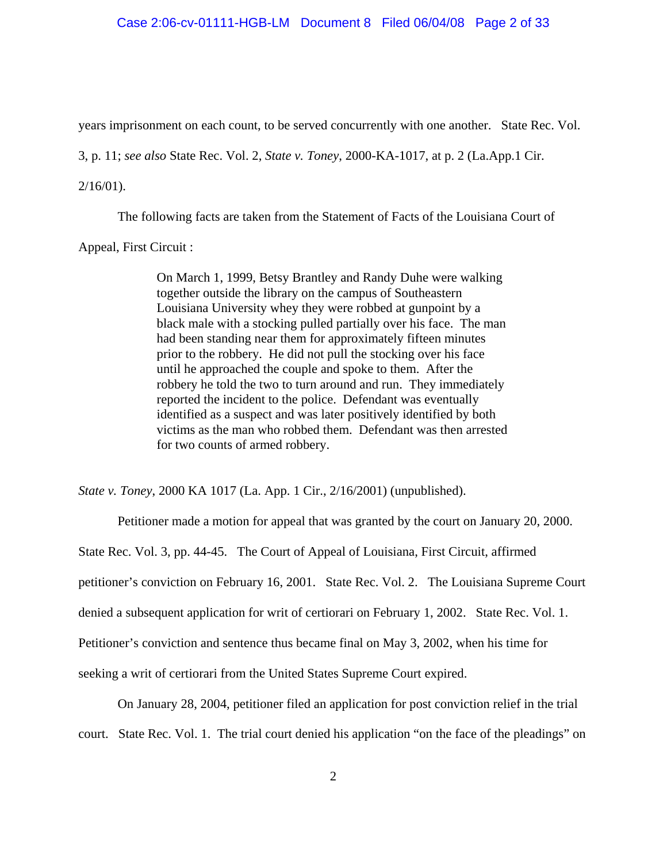#### Case 2:06-cv-01111-HGB-LM Document 8 Filed 06/04/08 Page 2 of 33

years imprisonment on each count, to be served concurrently with one another. State Rec. Vol.

3, p. 11; *see also* State Rec. Vol. 2, *State v. Toney*, 2000-KA-1017, at p. 2 (La.App.1 Cir.

#### 2/16/01).

The following facts are taken from the Statement of Facts of the Louisiana Court of

Appeal, First Circuit :

On March 1, 1999, Betsy Brantley and Randy Duhe were walking together outside the library on the campus of Southeastern Louisiana University whey they were robbed at gunpoint by a black male with a stocking pulled partially over his face. The man had been standing near them for approximately fifteen minutes prior to the robbery. He did not pull the stocking over his face until he approached the couple and spoke to them. After the robbery he told the two to turn around and run. They immediately reported the incident to the police. Defendant was eventually identified as a suspect and was later positively identified by both victims as the man who robbed them. Defendant was then arrested for two counts of armed robbery.

*State v. Toney*, 2000 KA 1017 (La. App. 1 Cir., 2/16/2001) (unpublished).

Petitioner made a motion for appeal that was granted by the court on January 20, 2000. State Rec. Vol. 3, pp. 44-45. The Court of Appeal of Louisiana, First Circuit, affirmed petitioner's conviction on February 16, 2001. State Rec. Vol. 2. The Louisiana Supreme Court denied a subsequent application for writ of certiorari on February 1, 2002. State Rec. Vol. 1. Petitioner's conviction and sentence thus became final on May 3, 2002, when his time for seeking a writ of certiorari from the United States Supreme Court expired.

On January 28, 2004, petitioner filed an application for post conviction relief in the trial

court. State Rec. Vol. 1. The trial court denied his application "on the face of the pleadings" on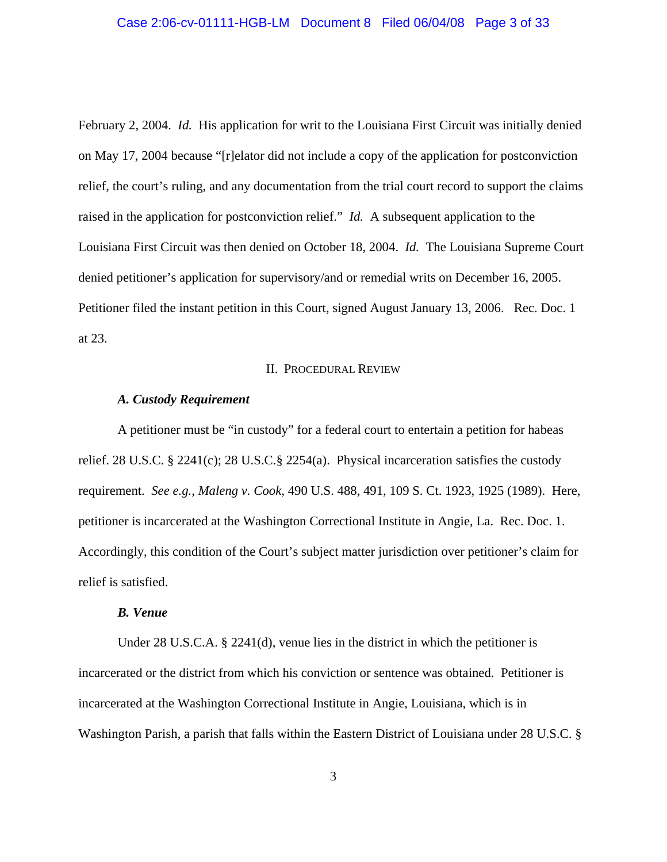# Case 2:06-cv-01111-HGB-LM Document 8 Filed 06/04/08 Page 3 of 33

February 2, 2004. *Id.* His application for writ to the Louisiana First Circuit was initially denied on May 17, 2004 because "[r]elator did not include a copy of the application for postconviction relief, the court's ruling, and any documentation from the trial court record to support the claims raised in the application for postconviction relief." *Id.* A subsequent application to the Louisiana First Circuit was then denied on October 18, 2004. *Id.* The Louisiana Supreme Court denied petitioner's application for supervisory/and or remedial writs on December 16, 2005. Petitioner filed the instant petition in this Court, signed August January 13, 2006. Rec. Doc. 1 at 23.

# II. PROCEDURAL REVIEW

#### *A. Custody Requirement*

A petitioner must be "in custody" for a federal court to entertain a petition for habeas relief. 28 U.S.C. § 2241(c); 28 U.S.C.§ 2254(a). Physical incarceration satisfies the custody requirement. *See e.g., Maleng v. Cook*, 490 U.S. 488, 491, 109 S. Ct. 1923, 1925 (1989). Here, petitioner is incarcerated at the Washington Correctional Institute in Angie, La. Rec. Doc. 1. Accordingly, this condition of the Court's subject matter jurisdiction over petitioner's claim for relief is satisfied.

# *B. Venue*

Under 28 U.S.C.A. § 2241(d), venue lies in the district in which the petitioner is incarcerated or the district from which his conviction or sentence was obtained. Petitioner is incarcerated at the Washington Correctional Institute in Angie, Louisiana, which is in Washington Parish, a parish that falls within the Eastern District of Louisiana under 28 U.S.C. §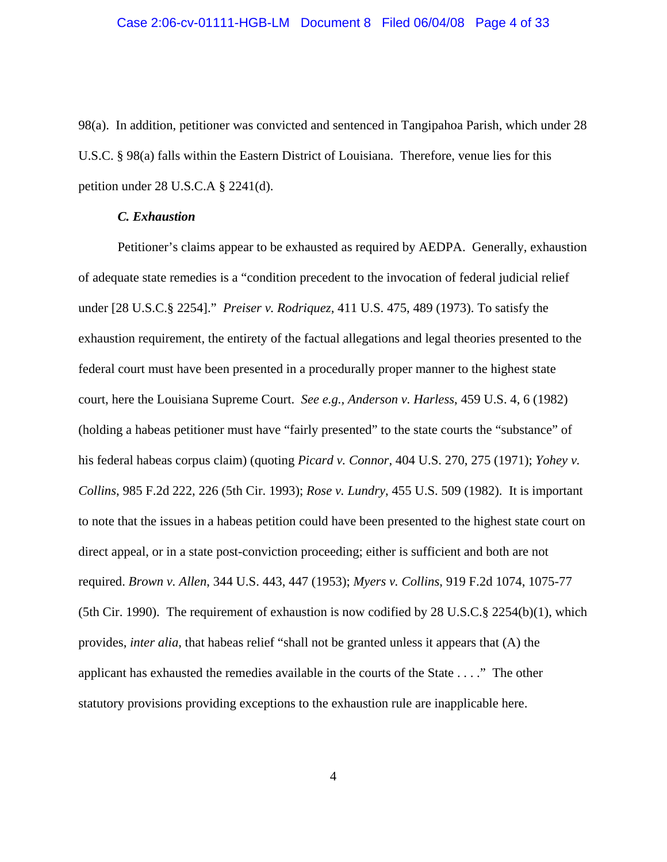98(a). In addition, petitioner was convicted and sentenced in Tangipahoa Parish, which under 28 U.S.C. § 98(a) falls within the Eastern District of Louisiana. Therefore, venue lies for this petition under 28 U.S.C.A § 2241(d).

# *C. Exhaustion*

Petitioner's claims appear to be exhausted as required by AEDPA. Generally, exhaustion of adequate state remedies is a "condition precedent to the invocation of federal judicial relief under [28 U.S.C.§ 2254]." *Preiser v. Rodriquez*, 411 U.S. 475, 489 (1973). To satisfy the exhaustion requirement, the entirety of the factual allegations and legal theories presented to the federal court must have been presented in a procedurally proper manner to the highest state court, here the Louisiana Supreme Court. *See e.g., Anderson v. Harless*, 459 U.S. 4, 6 (1982) (holding a habeas petitioner must have "fairly presented" to the state courts the "substance" of his federal habeas corpus claim) (quoting *Picard v. Connor*, 404 U.S. 270, 275 (1971); *Yohey v. Collins*, 985 F.2d 222, 226 (5th Cir. 1993); *Rose v. Lundry*, 455 U.S. 509 (1982). It is important to note that the issues in a habeas petition could have been presented to the highest state court on direct appeal, or in a state post-conviction proceeding; either is sufficient and both are not required. *Brown v. Allen*, 344 U.S. 443, 447 (1953); *Myers v. Collins*, 919 F.2d 1074, 1075-77 (5th Cir. 1990). The requirement of exhaustion is now codified by 28 U.S.C.§ 2254(b)(1), which provides, *inter alia*, that habeas relief "shall not be granted unless it appears that (A) the applicant has exhausted the remedies available in the courts of the State . . . ." The other statutory provisions providing exceptions to the exhaustion rule are inapplicable here.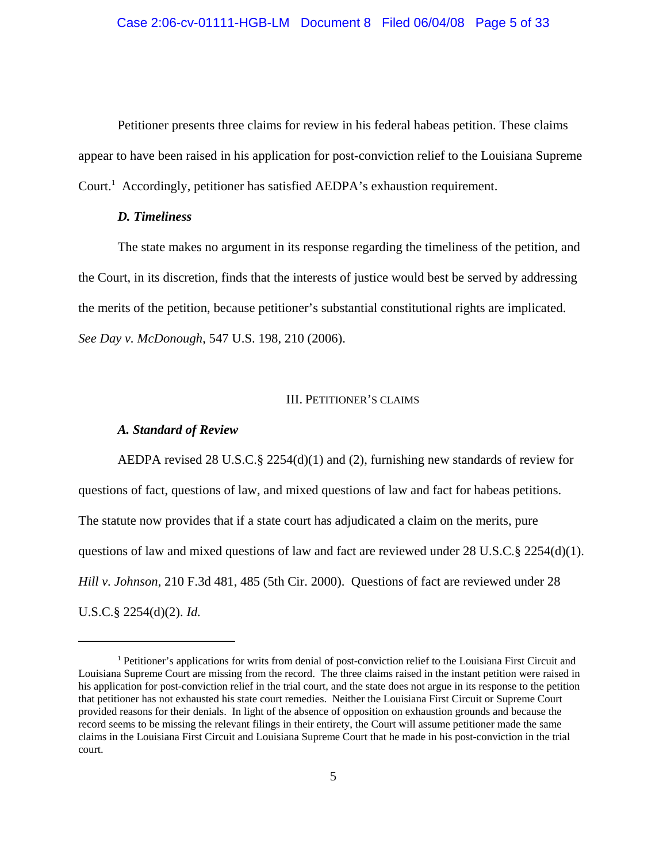Petitioner presents three claims for review in his federal habeas petition. These claims appear to have been raised in his application for post-conviction relief to the Louisiana Supreme Court.<sup>1</sup> Accordingly, petitioner has satisfied AEDPA's exhaustion requirement.

# *D. Timeliness*

The state makes no argument in its response regarding the timeliness of the petition, and the Court, in its discretion, finds that the interests of justice would best be served by addressing the merits of the petition, because petitioner's substantial constitutional rights are implicated. *See Day v. McDonough*, 547 U.S. 198, 210 (2006).

#### III. PETITIONER'S CLAIMS

## *A. Standard of Review*

AEDPA revised 28 U.S.C.§ 2254(d)(1) and (2), furnishing new standards of review for questions of fact, questions of law, and mixed questions of law and fact for habeas petitions. The statute now provides that if a state court has adjudicated a claim on the merits, pure questions of law and mixed questions of law and fact are reviewed under 28 U.S.C.§ 2254(d)(1). *Hill v. Johnson*, 210 F.3d 481, 485 (5th Cir. 2000). Questions of fact are reviewed under 28 U.S.C.§ 2254(d)(2). *Id.* 

<sup>1</sup> Petitioner's applications for writs from denial of post-conviction relief to the Louisiana First Circuit and Louisiana Supreme Court are missing from the record. The three claims raised in the instant petition were raised in his application for post-conviction relief in the trial court, and the state does not argue in its response to the petition that petitioner has not exhausted his state court remedies. Neither the Louisiana First Circuit or Supreme Court provided reasons for their denials. In light of the absence of opposition on exhaustion grounds and because the record seems to be missing the relevant filings in their entirety, the Court will assume petitioner made the same claims in the Louisiana First Circuit and Louisiana Supreme Court that he made in his post-conviction in the trial court.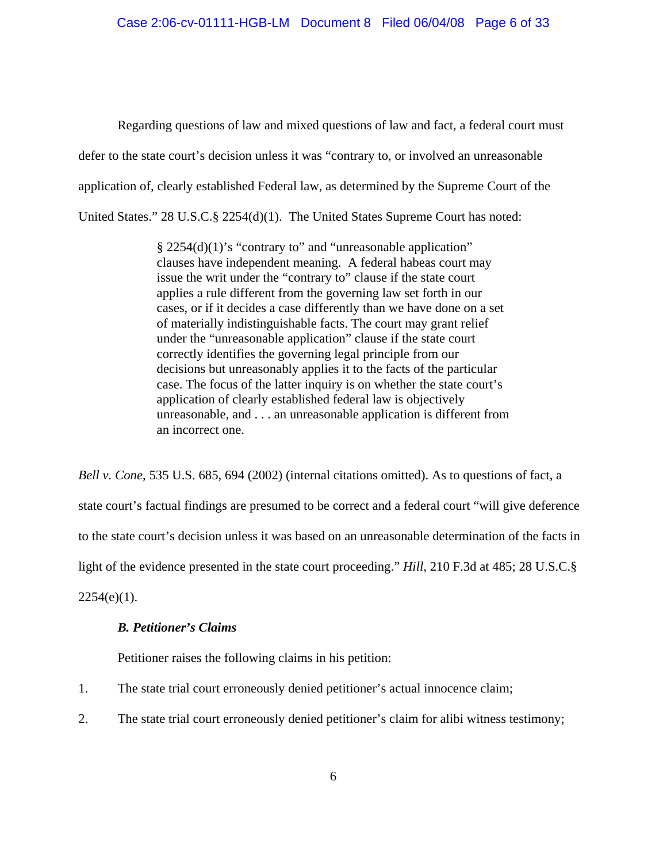Regarding questions of law and mixed questions of law and fact, a federal court must defer to the state court's decision unless it was "contrary to, or involved an unreasonable application of, clearly established Federal law, as determined by the Supreme Court of the United States." 28 U.S.C.§ 2254(d)(1). The United States Supreme Court has noted:

> § 2254(d)(1)'s "contrary to" and "unreasonable application" clauses have independent meaning. A federal habeas court may issue the writ under the "contrary to" clause if the state court applies a rule different from the governing law set forth in our cases, or if it decides a case differently than we have done on a set of materially indistinguishable facts. The court may grant relief under the "unreasonable application" clause if the state court correctly identifies the governing legal principle from our decisions but unreasonably applies it to the facts of the particular case. The focus of the latter inquiry is on whether the state court's application of clearly established federal law is objectively unreasonable, and . . . an unreasonable application is different from an incorrect one.

*Bell v. Cone*, 535 U.S. 685, 694 (2002) (internal citations omitted). As to questions of fact, a state court's factual findings are presumed to be correct and a federal court "will give deference to the state court's decision unless it was based on an unreasonable determination of the facts in light of the evidence presented in the state court proceeding." *Hill*, 210 F.3d at 485; 28 U.S.C.§  $2254(e)(1)$ .

# *B. Petitioner's Claims*

Petitioner raises the following claims in his petition:

- 1. The state trial court erroneously denied petitioner's actual innocence claim;
- 2. The state trial court erroneously denied petitioner's claim for alibi witness testimony;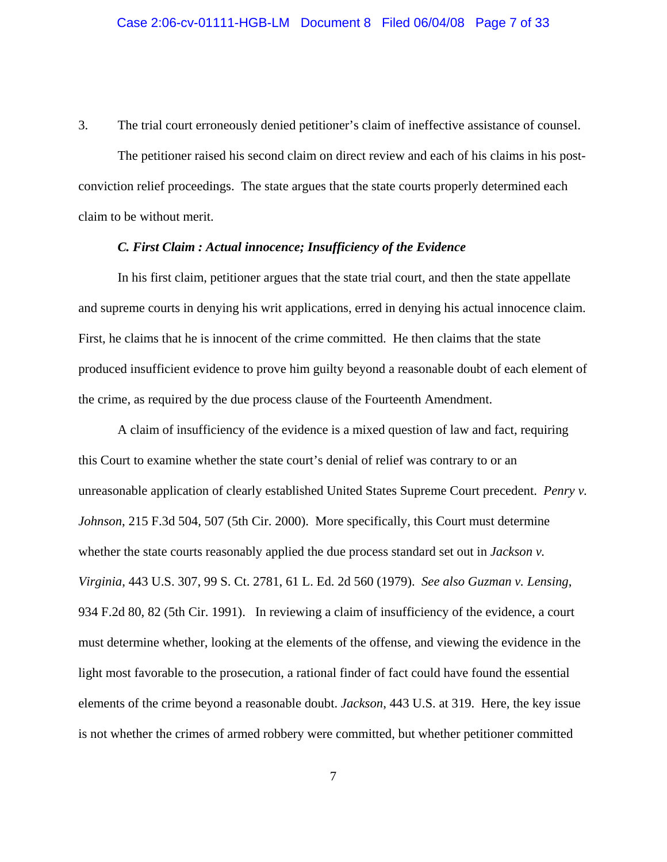3. The trial court erroneously denied petitioner's claim of ineffective assistance of counsel.

The petitioner raised his second claim on direct review and each of his claims in his postconviction relief proceedings. The state argues that the state courts properly determined each claim to be without merit.

# *C. First Claim : Actual innocence; Insufficiency of the Evidence*

In his first claim, petitioner argues that the state trial court, and then the state appellate and supreme courts in denying his writ applications, erred in denying his actual innocence claim. First, he claims that he is innocent of the crime committed. He then claims that the state produced insufficient evidence to prove him guilty beyond a reasonable doubt of each element of the crime, as required by the due process clause of the Fourteenth Amendment.

A claim of insufficiency of the evidence is a mixed question of law and fact, requiring this Court to examine whether the state court's denial of relief was contrary to or an unreasonable application of clearly established United States Supreme Court precedent. *Penry v. Johnson*, 215 F.3d 504, 507 (5th Cir. 2000). More specifically, this Court must determine whether the state courts reasonably applied the due process standard set out in *Jackson v. Virginia*, 443 U.S. 307, 99 S. Ct. 2781, 61 L. Ed. 2d 560 (1979). *See also Guzman v. Lensing*, 934 F.2d 80, 82 (5th Cir. 1991). In reviewing a claim of insufficiency of the evidence, a court must determine whether, looking at the elements of the offense, and viewing the evidence in the light most favorable to the prosecution, a rational finder of fact could have found the essential elements of the crime beyond a reasonable doubt. *Jackson*, 443 U.S. at 319. Here, the key issue is not whether the crimes of armed robbery were committed, but whether petitioner committed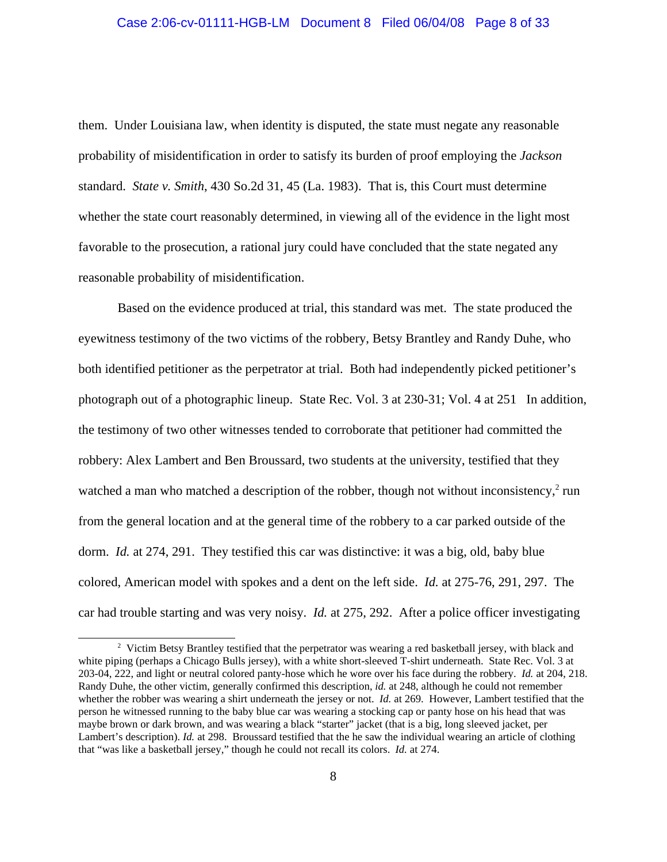# Case 2:06-cv-01111-HGB-LM Document 8 Filed 06/04/08 Page 8 of 33

them. Under Louisiana law, when identity is disputed, the state must negate any reasonable probability of misidentification in order to satisfy its burden of proof employing the *Jackson* standard. *State v. Smith*, 430 So.2d 31, 45 (La. 1983). That is, this Court must determine whether the state court reasonably determined, in viewing all of the evidence in the light most favorable to the prosecution, a rational jury could have concluded that the state negated any reasonable probability of misidentification.

Based on the evidence produced at trial, this standard was met. The state produced the eyewitness testimony of the two victims of the robbery, Betsy Brantley and Randy Duhe, who both identified petitioner as the perpetrator at trial. Both had independently picked petitioner's photograph out of a photographic lineup. State Rec. Vol. 3 at 230-31; Vol. 4 at 251 In addition, the testimony of two other witnesses tended to corroborate that petitioner had committed the robbery: Alex Lambert and Ben Broussard, two students at the university, testified that they watched a man who matched a description of the robber, though not without inconsistency, $2$  run from the general location and at the general time of the robbery to a car parked outside of the dorm. *Id.* at 274, 291. They testified this car was distinctive: it was a big, old, baby blue colored, American model with spokes and a dent on the left side. *Id.* at 275-76, 291, 297. The car had trouble starting and was very noisy. *Id.* at 275, 292. After a police officer investigating

<sup>&</sup>lt;sup>2</sup> Victim Betsy Brantley testified that the perpetrator was wearing a red basketball jersey, with black and white piping (perhaps a Chicago Bulls jersey), with a white short-sleeved T-shirt underneath. State Rec. Vol. 3 at 203-04, 222, and light or neutral colored panty-hose which he wore over his face during the robbery. *Id.* at 204, 218. Randy Duhe, the other victim, generally confirmed this description, *id.* at 248, although he could not remember whether the robber was wearing a shirt underneath the jersey or not. *Id.* at 269. However, Lambert testified that the person he witnessed running to the baby blue car was wearing a stocking cap or panty hose on his head that was maybe brown or dark brown, and was wearing a black "starter" jacket (that is a big, long sleeved jacket, per Lambert's description). *Id.* at 298. Broussard testified that the he saw the individual wearing an article of clothing that "was like a basketball jersey," though he could not recall its colors. *Id.* at 274.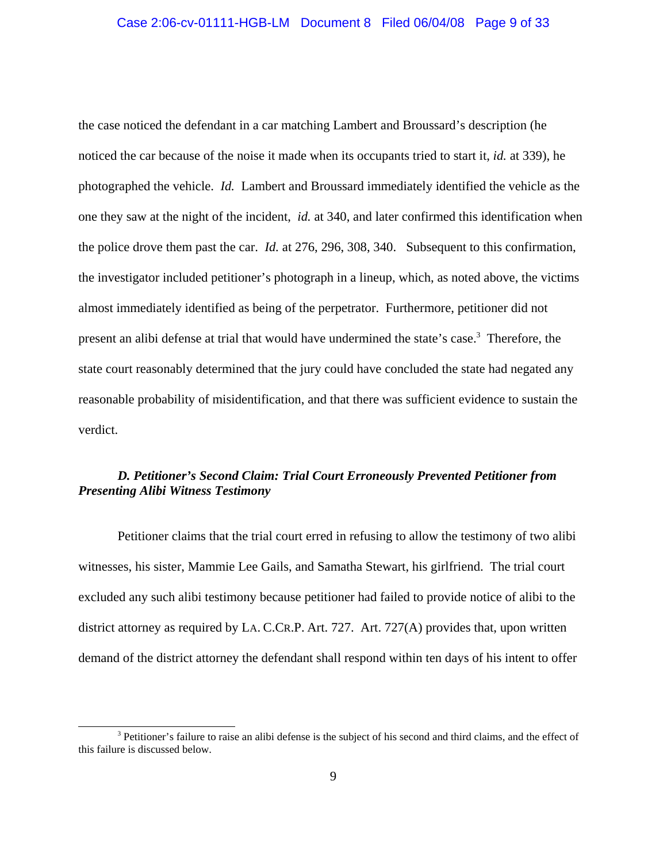the case noticed the defendant in a car matching Lambert and Broussard's description (he noticed the car because of the noise it made when its occupants tried to start it, *id.* at 339), he photographed the vehicle. *Id.* Lambert and Broussard immediately identified the vehicle as the one they saw at the night of the incident, *id.* at 340, and later confirmed this identification when the police drove them past the car. *Id.* at 276, 296, 308, 340. Subsequent to this confirmation, the investigator included petitioner's photograph in a lineup, which, as noted above, the victims almost immediately identified as being of the perpetrator. Furthermore, petitioner did not present an alibi defense at trial that would have undermined the state's case.<sup>3</sup> Therefore, the state court reasonably determined that the jury could have concluded the state had negated any reasonable probability of misidentification, and that there was sufficient evidence to sustain the verdict.

# *D. Petitioner's Second Claim: Trial Court Erroneously Prevented Petitioner from Presenting Alibi Witness Testimony*

Petitioner claims that the trial court erred in refusing to allow the testimony of two alibi witnesses, his sister, Mammie Lee Gails, and Samatha Stewart, his girlfriend. The trial court excluded any such alibi testimony because petitioner had failed to provide notice of alibi to the district attorney as required by LA. C.CR.P. Art. 727. Art. 727(A) provides that, upon written demand of the district attorney the defendant shall respond within ten days of his intent to offer

<sup>&</sup>lt;sup>3</sup> Petitioner's failure to raise an alibi defense is the subject of his second and third claims, and the effect of this failure is discussed below.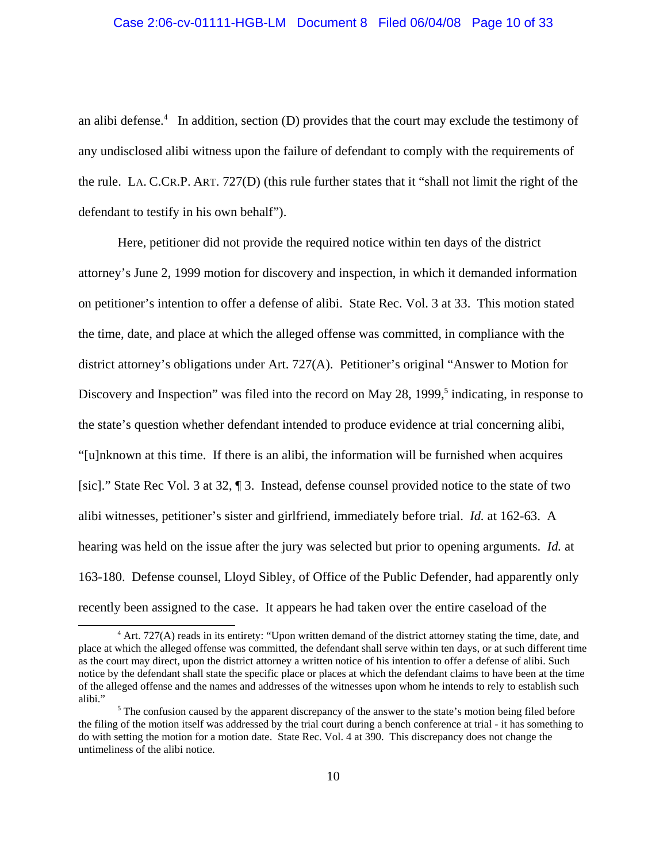#### Case 2:06-cv-01111-HGB-LM Document 8 Filed 06/04/08 Page 10 of 33

an alibi defense.<sup>4</sup> In addition, section (D) provides that the court may exclude the testimony of any undisclosed alibi witness upon the failure of defendant to comply with the requirements of the rule. LA. C.CR.P. ART. 727(D) (this rule further states that it "shall not limit the right of the defendant to testify in his own behalf").

Here, petitioner did not provide the required notice within ten days of the district attorney's June 2, 1999 motion for discovery and inspection, in which it demanded information on petitioner's intention to offer a defense of alibi. State Rec. Vol. 3 at 33. This motion stated the time, date, and place at which the alleged offense was committed, in compliance with the district attorney's obligations under Art. 727(A). Petitioner's original "Answer to Motion for Discovery and Inspection" was filed into the record on May 28, 1999,<sup>5</sup> indicating, in response to the state's question whether defendant intended to produce evidence at trial concerning alibi, "[u]nknown at this time. If there is an alibi, the information will be furnished when acquires [sic]." State Rec Vol. 3 at 32, ¶ 3. Instead, defense counsel provided notice to the state of two alibi witnesses, petitioner's sister and girlfriend, immediately before trial. *Id.* at 162-63. A hearing was held on the issue after the jury was selected but prior to opening arguments. *Id.* at 163-180. Defense counsel, Lloyd Sibley, of Office of the Public Defender, had apparently only recently been assigned to the case. It appears he had taken over the entire caseload of the

<sup>&</sup>lt;sup>4</sup> Art. 727(A) reads in its entirety: "Upon written demand of the district attorney stating the time, date, and place at which the alleged offense was committed, the defendant shall serve within ten days, or at such different time as the court may direct, upon the district attorney a written notice of his intention to offer a defense of alibi. Such notice by the defendant shall state the specific place or places at which the defendant claims to have been at the time of the alleged offense and the names and addresses of the witnesses upon whom he intends to rely to establish such alibi."

<sup>&</sup>lt;sup>5</sup> The confusion caused by the apparent discrepancy of the answer to the state's motion being filed before the filing of the motion itself was addressed by the trial court during a bench conference at trial - it has something to do with setting the motion for a motion date. State Rec. Vol. 4 at 390. This discrepancy does not change the untimeliness of the alibi notice.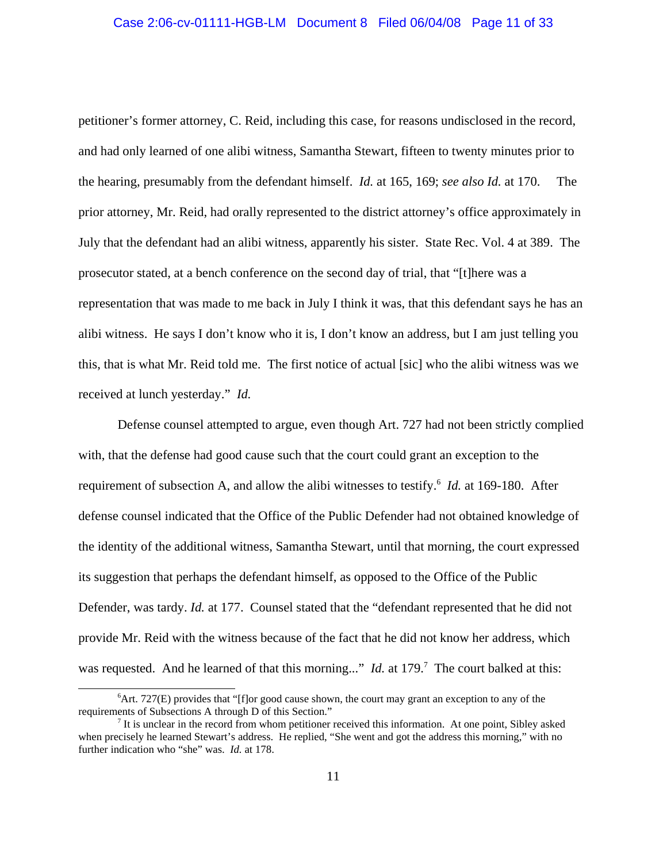# Case 2:06-cv-01111-HGB-LM Document 8 Filed 06/04/08 Page 11 of 33

petitioner's former attorney, C. Reid, including this case, for reasons undisclosed in the record, and had only learned of one alibi witness, Samantha Stewart, fifteen to twenty minutes prior to the hearing, presumably from the defendant himself. *Id.* at 165, 169; *see also Id.* at 170. The prior attorney, Mr. Reid, had orally represented to the district attorney's office approximately in July that the defendant had an alibi witness, apparently his sister. State Rec. Vol. 4 at 389. The prosecutor stated, at a bench conference on the second day of trial, that "[t]here was a representation that was made to me back in July I think it was, that this defendant says he has an alibi witness. He says I don't know who it is, I don't know an address, but I am just telling you this, that is what Mr. Reid told me. The first notice of actual [sic] who the alibi witness was we received at lunch yesterday." *Id.*

Defense counsel attempted to argue, even though Art. 727 had not been strictly complied with, that the defense had good cause such that the court could grant an exception to the requirement of subsection A, and allow the alibi witnesses to testify.<sup>6</sup> *Id.* at 169-180. After defense counsel indicated that the Office of the Public Defender had not obtained knowledge of the identity of the additional witness, Samantha Stewart, until that morning, the court expressed its suggestion that perhaps the defendant himself, as opposed to the Office of the Public Defender, was tardy. *Id.* at 177. Counsel stated that the "defendant represented that he did not provide Mr. Reid with the witness because of the fact that he did not know her address, which was requested. And he learned of that this morning..." *Id.* at 179.<sup>7</sup> The court balked at this:

<sup>&</sup>lt;sup>6</sup>Art. 727(E) provides that "[f]or good cause shown, the court may grant an exception to any of the requirements of Subsections A through D of this Section."

 $<sup>7</sup>$  It is unclear in the record from whom petitioner received this information. At one point, Sibley asked</sup> when precisely he learned Stewart's address. He replied, "She went and got the address this morning," with no further indication who "she" was. *Id.* at 178.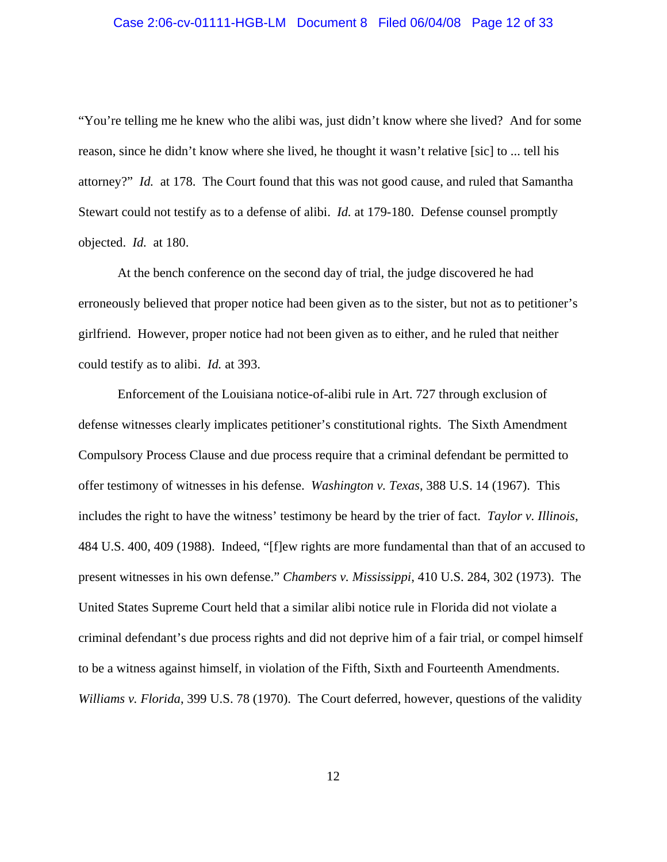# Case 2:06-cv-01111-HGB-LM Document 8 Filed 06/04/08 Page 12 of 33

"You're telling me he knew who the alibi was, just didn't know where she lived? And for some reason, since he didn't know where she lived, he thought it wasn't relative [sic] to ... tell his attorney?" *Id.* at 178. The Court found that this was not good cause, and ruled that Samantha Stewart could not testify as to a defense of alibi. *Id.* at 179-180. Defense counsel promptly objected. *Id.* at 180.

At the bench conference on the second day of trial, the judge discovered he had erroneously believed that proper notice had been given as to the sister, but not as to petitioner's girlfriend. However, proper notice had not been given as to either, and he ruled that neither could testify as to alibi. *Id.* at 393.

Enforcement of the Louisiana notice-of-alibi rule in Art. 727 through exclusion of defense witnesses clearly implicates petitioner's constitutional rights. The Sixth Amendment Compulsory Process Clause and due process require that a criminal defendant be permitted to offer testimony of witnesses in his defense. *Washington v. Texas*, 388 U.S. 14 (1967). This includes the right to have the witness' testimony be heard by the trier of fact. *Taylor v. Illinois*, 484 U.S. 400, 409 (1988). Indeed, "[f]ew rights are more fundamental than that of an accused to present witnesses in his own defense." *Chambers v. Mississippi*, 410 U.S. 284, 302 (1973). The United States Supreme Court held that a similar alibi notice rule in Florida did not violate a criminal defendant's due process rights and did not deprive him of a fair trial, or compel himself to be a witness against himself, in violation of the Fifth, Sixth and Fourteenth Amendments. *Williams v. Florida*, 399 U.S. 78 (1970). The Court deferred, however, questions of the validity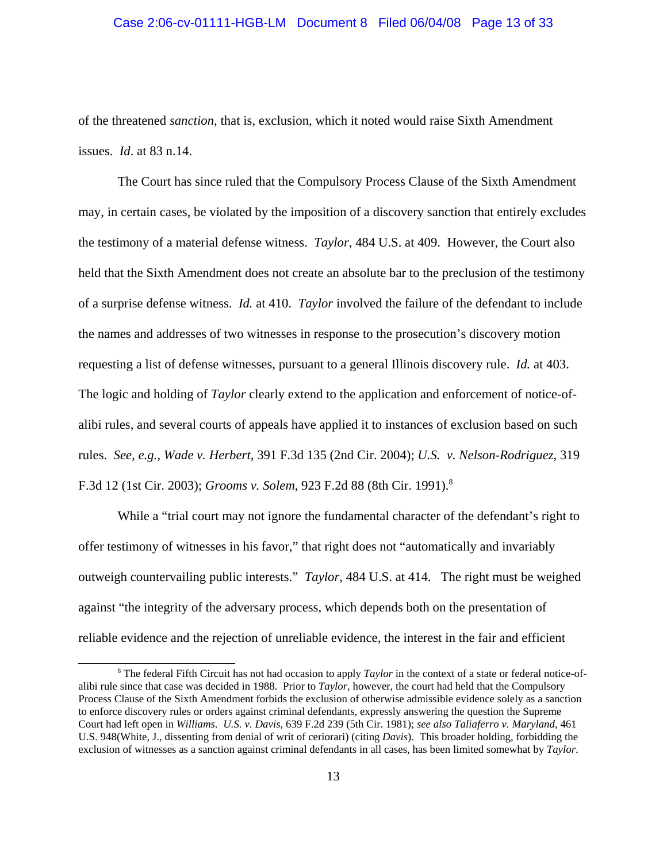#### Case 2:06-cv-01111-HGB-LM Document 8 Filed 06/04/08 Page 13 of 33

of the threatened *sanction*, that is, exclusion, which it noted would raise Sixth Amendment issues. *Id*. at 83 n.14.

The Court has since ruled that the Compulsory Process Clause of the Sixth Amendment may, in certain cases, be violated by the imposition of a discovery sanction that entirely excludes the testimony of a material defense witness. *Taylor*, 484 U.S. at 409. However, the Court also held that the Sixth Amendment does not create an absolute bar to the preclusion of the testimony of a surprise defense witness. *Id.* at 410. *Taylor* involved the failure of the defendant to include the names and addresses of two witnesses in response to the prosecution's discovery motion requesting a list of defense witnesses, pursuant to a general Illinois discovery rule. *Id.* at 403. The logic and holding of *Taylor* clearly extend to the application and enforcement of notice-ofalibi rules, and several courts of appeals have applied it to instances of exclusion based on such rules. *See, e.g., Wade v. Herbert*, 391 F.3d 135 (2nd Cir. 2004); *U.S. v. Nelson-Rodriguez*, 319 F.3d 12 (1st Cir. 2003); *Grooms v. Solem*, 923 F.2d 88 (8th Cir. 1991).8

While a "trial court may not ignore the fundamental character of the defendant's right to offer testimony of witnesses in his favor," that right does not "automatically and invariably outweigh countervailing public interests." *Taylor*, 484 U.S. at 414. The right must be weighed against "the integrity of the adversary process, which depends both on the presentation of reliable evidence and the rejection of unreliable evidence, the interest in the fair and efficient

<sup>&</sup>lt;sup>8</sup> The federal Fifth Circuit has not had occasion to apply *Taylor* in the context of a state or federal notice-ofalibi rule since that case was decided in 1988. Prior to *Taylor*, however, the court had held that the Compulsory Process Clause of the Sixth Amendment forbids the exclusion of otherwise admissible evidence solely as a sanction to enforce discovery rules or orders against criminal defendants, expressly answering the question the Supreme Court had left open in *Williams*. *U.S. v. Davis*, 639 F.2d 239 (5th Cir. 1981); *see also Taliaferro v. Maryland*, 461 U.S. 948(White, J., dissenting from denial of writ of ceriorari) (citing *Davis*). This broader holding, forbidding the exclusion of witnesses as a sanction against criminal defendants in all cases, has been limited somewhat by *Taylor*.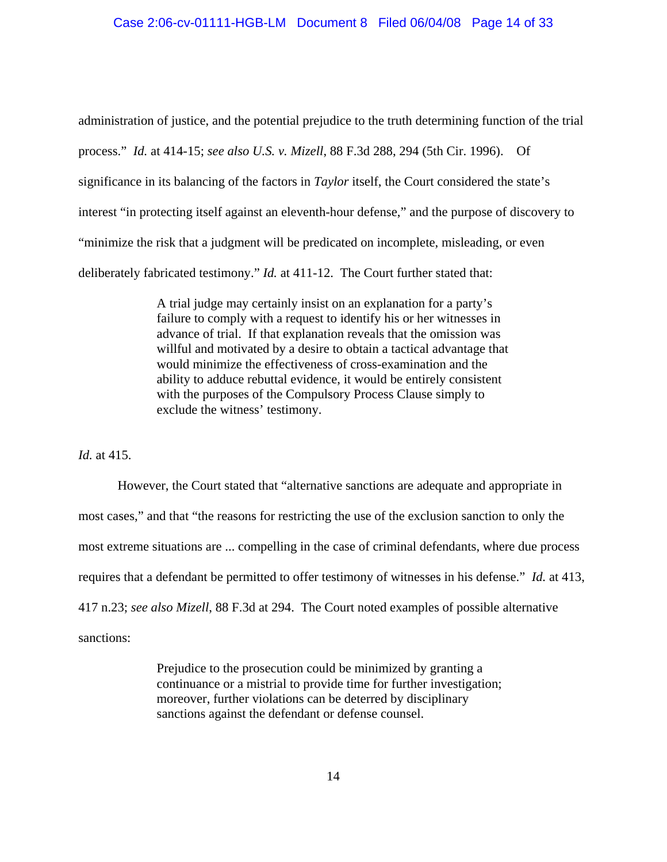administration of justice, and the potential prejudice to the truth determining function of the trial process." *Id.* at 414-15; *see also U.S. v. Mizell*, 88 F.3d 288, 294 (5th Cir. 1996). Of significance in its balancing of the factors in *Taylor* itself, the Court considered the state's interest "in protecting itself against an eleventh-hour defense," and the purpose of discovery to "minimize the risk that a judgment will be predicated on incomplete, misleading, or even deliberately fabricated testimony." *Id.* at 411-12. The Court further stated that:

> A trial judge may certainly insist on an explanation for a party's failure to comply with a request to identify his or her witnesses in advance of trial. If that explanation reveals that the omission was willful and motivated by a desire to obtain a tactical advantage that would minimize the effectiveness of cross-examination and the ability to adduce rebuttal evidence, it would be entirely consistent with the purposes of the Compulsory Process Clause simply to exclude the witness' testimony.

*Id.* at 415.

However, the Court stated that "alternative sanctions are adequate and appropriate in most cases," and that "the reasons for restricting the use of the exclusion sanction to only the most extreme situations are ... compelling in the case of criminal defendants, where due process requires that a defendant be permitted to offer testimony of witnesses in his defense." *Id.* at 413, 417 n.23; *see also Mizell*, 88 F.3d at 294. The Court noted examples of possible alternative sanctions:

> Prejudice to the prosecution could be minimized by granting a continuance or a mistrial to provide time for further investigation; moreover, further violations can be deterred by disciplinary sanctions against the defendant or defense counsel.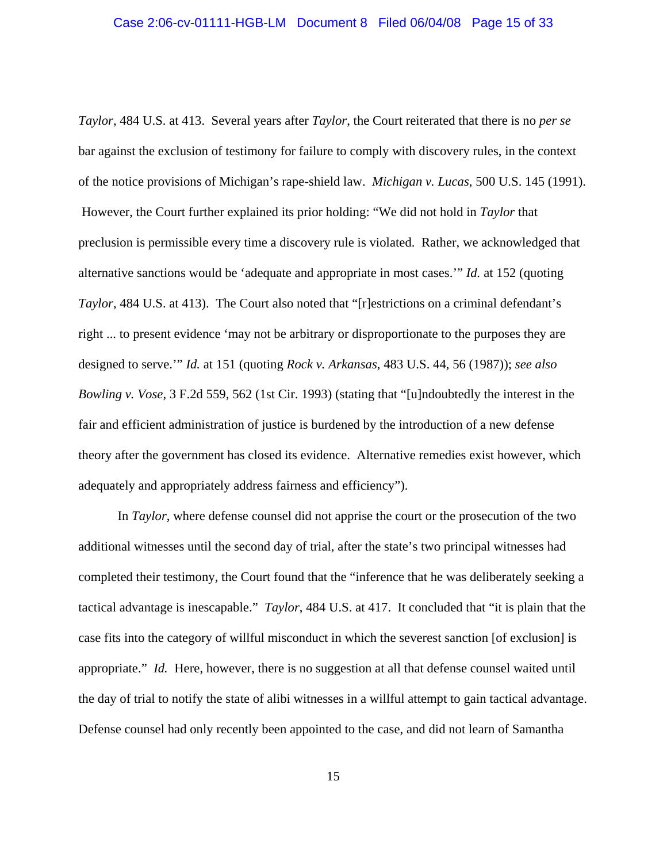*Taylor*, 484 U.S. at 413. Several years after *Taylor*, the Court reiterated that there is no *per se* bar against the exclusion of testimony for failure to comply with discovery rules, in the context of the notice provisions of Michigan's rape-shield law. *Michigan v. Lucas*, 500 U.S. 145 (1991). However, the Court further explained its prior holding: "We did not hold in *Taylor* that preclusion is permissible every time a discovery rule is violated. Rather, we acknowledged that alternative sanctions would be 'adequate and appropriate in most cases.'" *Id.* at 152 (quoting *Taylor*, 484 U.S. at 413). The Court also noted that "[r]estrictions on a criminal defendant's right ... to present evidence 'may not be arbitrary or disproportionate to the purposes they are designed to serve.'" *Id.* at 151 (quoting *Rock v. Arkansas*, 483 U.S. 44, 56 (1987)); *see also Bowling v. Vose*, 3 F.2d 559, 562 (1st Cir. 1993) (stating that "[u]ndoubtedly the interest in the fair and efficient administration of justice is burdened by the introduction of a new defense theory after the government has closed its evidence. Alternative remedies exist however, which adequately and appropriately address fairness and efficiency").

In *Taylor*, where defense counsel did not apprise the court or the prosecution of the two additional witnesses until the second day of trial, after the state's two principal witnesses had completed their testimony, the Court found that the "inference that he was deliberately seeking a tactical advantage is inescapable." *Taylor*, 484 U.S. at 417. It concluded that "it is plain that the case fits into the category of willful misconduct in which the severest sanction [of exclusion] is appropriate." *Id.* Here, however, there is no suggestion at all that defense counsel waited until the day of trial to notify the state of alibi witnesses in a willful attempt to gain tactical advantage. Defense counsel had only recently been appointed to the case, and did not learn of Samantha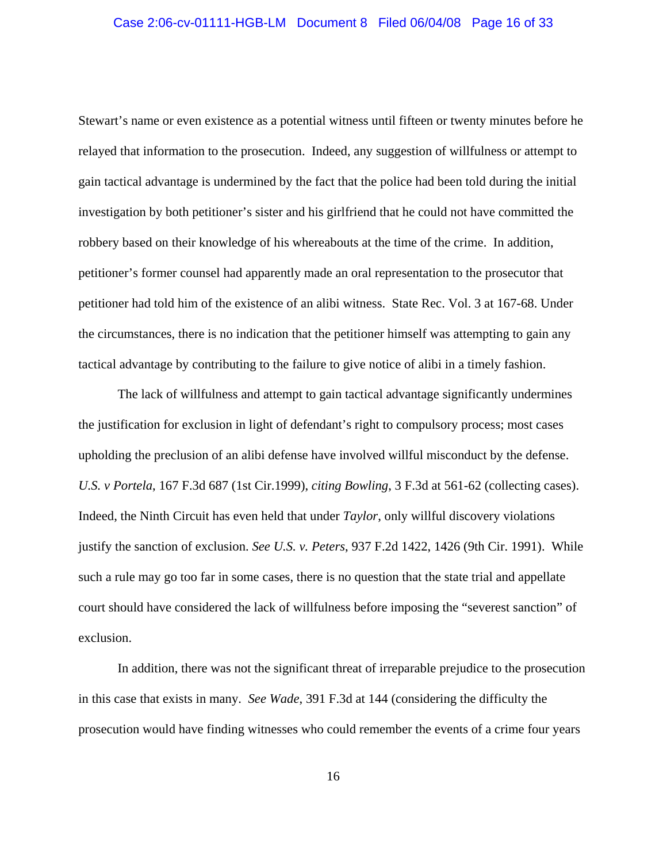# Case 2:06-cv-01111-HGB-LM Document 8 Filed 06/04/08 Page 16 of 33

Stewart's name or even existence as a potential witness until fifteen or twenty minutes before he relayed that information to the prosecution. Indeed, any suggestion of willfulness or attempt to gain tactical advantage is undermined by the fact that the police had been told during the initial investigation by both petitioner's sister and his girlfriend that he could not have committed the robbery based on their knowledge of his whereabouts at the time of the crime. In addition, petitioner's former counsel had apparently made an oral representation to the prosecutor that petitioner had told him of the existence of an alibi witness. State Rec. Vol. 3 at 167-68. Under the circumstances, there is no indication that the petitioner himself was attempting to gain any tactical advantage by contributing to the failure to give notice of alibi in a timely fashion.

The lack of willfulness and attempt to gain tactical advantage significantly undermines the justification for exclusion in light of defendant's right to compulsory process; most cases upholding the preclusion of an alibi defense have involved willful misconduct by the defense. *U.S. v Portela*, 167 F.3d 687 (1st Cir.1999), *citing Bowling*, 3 F.3d at 561-62 (collecting cases). Indeed, the Ninth Circuit has even held that under *Taylor*, only willful discovery violations justify the sanction of exclusion. *See U.S. v. Peters*, 937 F.2d 1422, 1426 (9th Cir. 1991). While such a rule may go too far in some cases, there is no question that the state trial and appellate court should have considered the lack of willfulness before imposing the "severest sanction" of exclusion.

In addition, there was not the significant threat of irreparable prejudice to the prosecution in this case that exists in many. *See Wade*, 391 F.3d at 144 (considering the difficulty the prosecution would have finding witnesses who could remember the events of a crime four years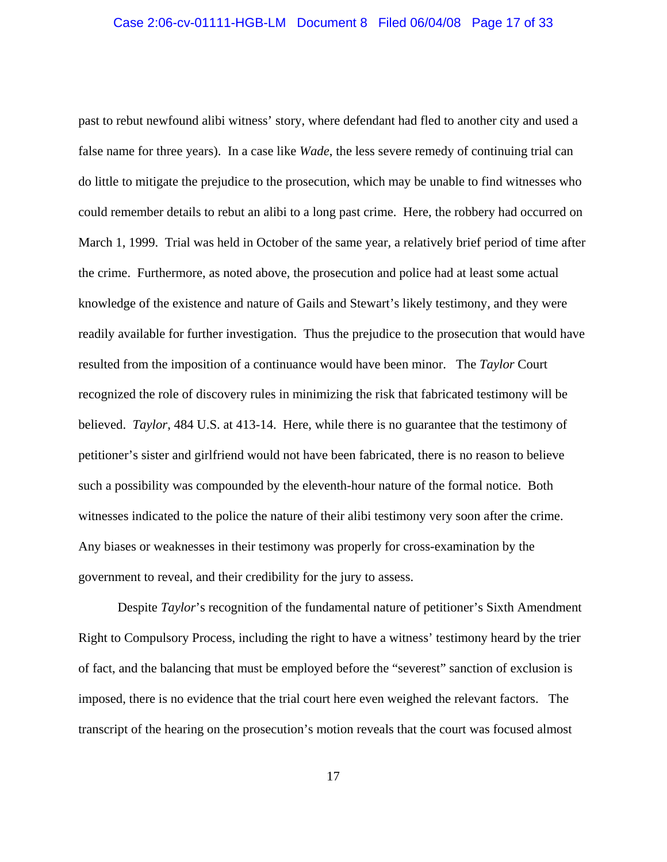past to rebut newfound alibi witness' story, where defendant had fled to another city and used a false name for three years). In a case like *Wade*, the less severe remedy of continuing trial can do little to mitigate the prejudice to the prosecution, which may be unable to find witnesses who could remember details to rebut an alibi to a long past crime. Here, the robbery had occurred on March 1, 1999. Trial was held in October of the same year, a relatively brief period of time after the crime. Furthermore, as noted above, the prosecution and police had at least some actual knowledge of the existence and nature of Gails and Stewart's likely testimony, and they were readily available for further investigation. Thus the prejudice to the prosecution that would have resulted from the imposition of a continuance would have been minor. The *Taylor* Court recognized the role of discovery rules in minimizing the risk that fabricated testimony will be believed. *Taylor*, 484 U.S. at 413-14. Here, while there is no guarantee that the testimony of petitioner's sister and girlfriend would not have been fabricated, there is no reason to believe such a possibility was compounded by the eleventh-hour nature of the formal notice. Both witnesses indicated to the police the nature of their alibi testimony very soon after the crime. Any biases or weaknesses in their testimony was properly for cross-examination by the government to reveal, and their credibility for the jury to assess.

Despite *Taylor*'s recognition of the fundamental nature of petitioner's Sixth Amendment Right to Compulsory Process, including the right to have a witness' testimony heard by the trier of fact, and the balancing that must be employed before the "severest" sanction of exclusion is imposed, there is no evidence that the trial court here even weighed the relevant factors. The transcript of the hearing on the prosecution's motion reveals that the court was focused almost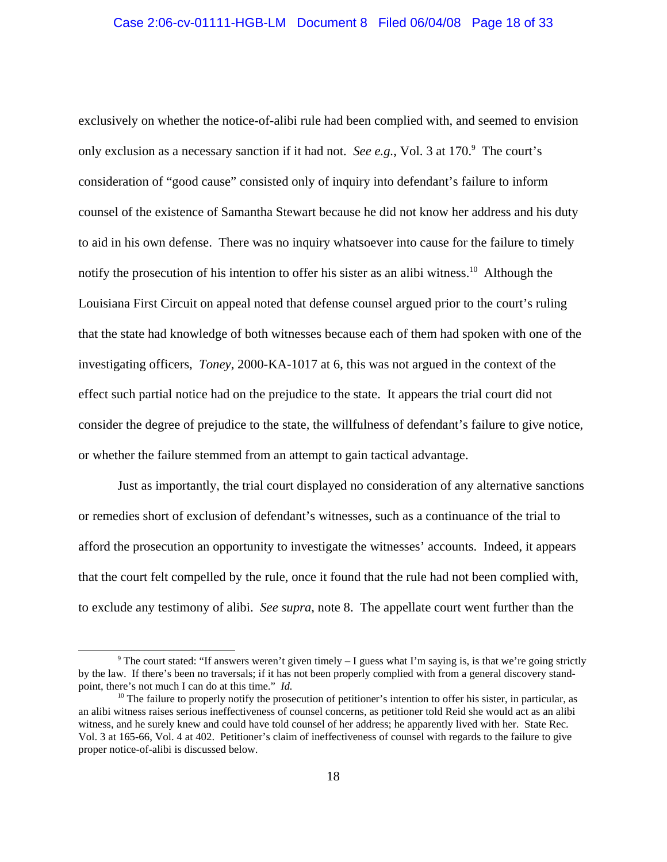exclusively on whether the notice-of-alibi rule had been complied with, and seemed to envision only exclusion as a necessary sanction if it had not. *See e.g.*, Vol. 3 at 170.<sup>9</sup> The court's consideration of "good cause" consisted only of inquiry into defendant's failure to inform counsel of the existence of Samantha Stewart because he did not know her address and his duty to aid in his own defense. There was no inquiry whatsoever into cause for the failure to timely notify the prosecution of his intention to offer his sister as an alibi witness.<sup>10</sup> Although the Louisiana First Circuit on appeal noted that defense counsel argued prior to the court's ruling that the state had knowledge of both witnesses because each of them had spoken with one of the investigating officers, *Toney*, 2000-KA-1017 at 6, this was not argued in the context of the effect such partial notice had on the prejudice to the state. It appears the trial court did not consider the degree of prejudice to the state, the willfulness of defendant's failure to give notice, or whether the failure stemmed from an attempt to gain tactical advantage.

Just as importantly, the trial court displayed no consideration of any alternative sanctions or remedies short of exclusion of defendant's witnesses, such as a continuance of the trial to afford the prosecution an opportunity to investigate the witnesses' accounts. Indeed, it appears that the court felt compelled by the rule, once it found that the rule had not been complied with, to exclude any testimony of alibi. *See supra*, note 8. The appellate court went further than the

<sup>&</sup>lt;sup>9</sup> The court stated: "If answers weren't given timely  $-1$  guess what I'm saying is, is that we're going strictly by the law. If there's been no traversals; if it has not been properly complied with from a general discovery standpoint, there's not much I can do at this time." *Id.* 10 Interval of petitioner's intention to offer his sister, in particular, as <sup>10</sup> The failure to properly notify the prosecution of petitioner's intention to offer his

an alibi witness raises serious ineffectiveness of counsel concerns, as petitioner told Reid she would act as an alibi witness, and he surely knew and could have told counsel of her address; he apparently lived with her. State Rec. Vol. 3 at 165-66, Vol. 4 at 402. Petitioner's claim of ineffectiveness of counsel with regards to the failure to give proper notice-of-alibi is discussed below.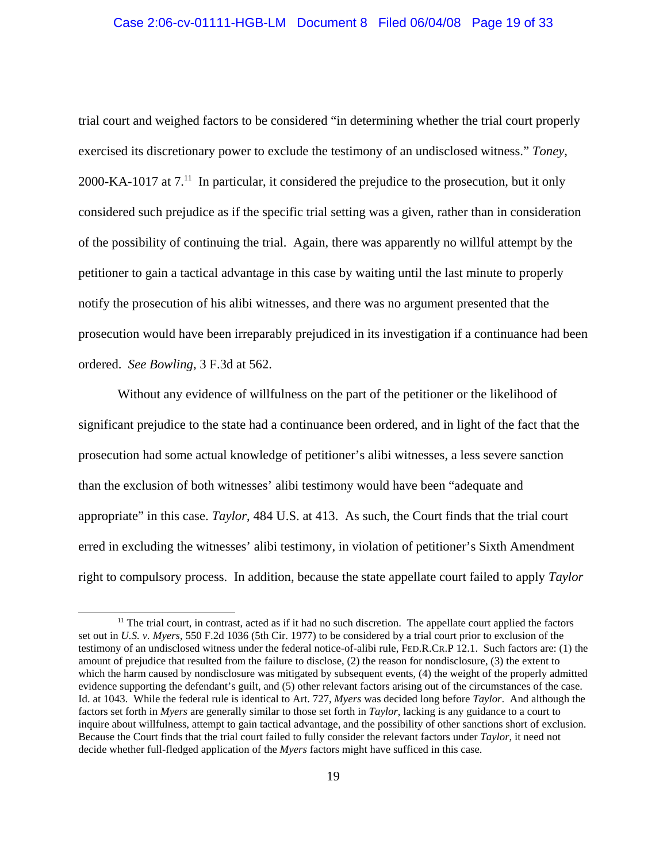# Case 2:06-cv-01111-HGB-LM Document 8 Filed 06/04/08 Page 19 of 33

trial court and weighed factors to be considered "in determining whether the trial court properly exercised its discretionary power to exclude the testimony of an undisclosed witness." *Toney*, 2000-KA-1017 at  $7<sup>11</sup>$  In particular, it considered the prejudice to the prosecution, but it only considered such prejudice as if the specific trial setting was a given, rather than in consideration of the possibility of continuing the trial. Again, there was apparently no willful attempt by the petitioner to gain a tactical advantage in this case by waiting until the last minute to properly notify the prosecution of his alibi witnesses, and there was no argument presented that the prosecution would have been irreparably prejudiced in its investigation if a continuance had been ordered. *See Bowling*, 3 F.3d at 562.

Without any evidence of willfulness on the part of the petitioner or the likelihood of significant prejudice to the state had a continuance been ordered, and in light of the fact that the prosecution had some actual knowledge of petitioner's alibi witnesses, a less severe sanction than the exclusion of both witnesses' alibi testimony would have been "adequate and appropriate" in this case. *Taylor*, 484 U.S. at 413. As such, the Court finds that the trial court erred in excluding the witnesses' alibi testimony, in violation of petitioner's Sixth Amendment right to compulsory process. In addition, because the state appellate court failed to apply *Taylor*

 $11$  The trial court, in contrast, acted as if it had no such discretion. The appellate court applied the factors set out in *U.S. v. Myers*, 550 F.2d 1036 (5th Cir. 1977) to be considered by a trial court prior to exclusion of the testimony of an undisclosed witness under the federal notice-of-alibi rule, FED.R.CR.P 12.1. Such factors are: (1) the amount of prejudice that resulted from the failure to disclose, (2) the reason for nondisclosure, (3) the extent to which the harm caused by nondisclosure was mitigated by subsequent events, (4) the weight of the properly admitted evidence supporting the defendant's guilt, and (5) other relevant factors arising out of the circumstances of the case. Id. at 1043. While the federal rule is identical to Art. 727, *Myers* was decided long before *Taylor*. And although the factors set forth in *Myers* are generally similar to those set forth in *Taylor*, lacking is any guidance to a court to inquire about willfulness, attempt to gain tactical advantage, and the possibility of other sanctions short of exclusion. Because the Court finds that the trial court failed to fully consider the relevant factors under *Taylor*, it need not decide whether full-fledged application of the *Myers* factors might have sufficed in this case.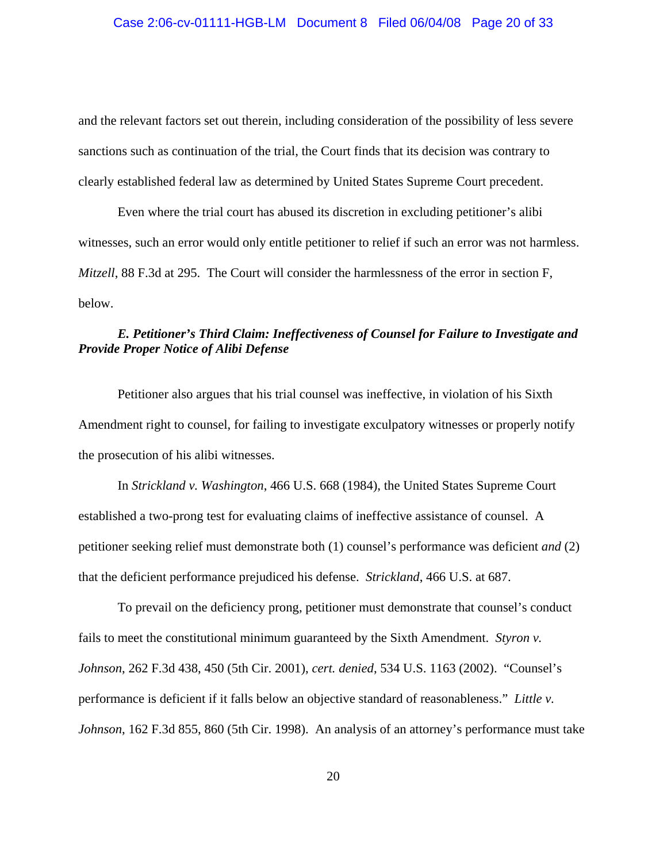and the relevant factors set out therein, including consideration of the possibility of less severe sanctions such as continuation of the trial, the Court finds that its decision was contrary to clearly established federal law as determined by United States Supreme Court precedent.

Even where the trial court has abused its discretion in excluding petitioner's alibi witnesses, such an error would only entitle petitioner to relief if such an error was not harmless. *Mitzell*, 88 F.3d at 295. The Court will consider the harmlessness of the error in section F, below.

# *E. Petitioner's Third Claim: Ineffectiveness of Counsel for Failure to Investigate and Provide Proper Notice of Alibi Defense*

Petitioner also argues that his trial counsel was ineffective, in violation of his Sixth Amendment right to counsel, for failing to investigate exculpatory witnesses or properly notify the prosecution of his alibi witnesses.

In *Strickland v. Washington*, 466 U.S. 668 (1984), the United States Supreme Court established a two-prong test for evaluating claims of ineffective assistance of counsel. A petitioner seeking relief must demonstrate both (1) counsel's performance was deficient *and* (2) that the deficient performance prejudiced his defense. *Strickland*, 466 U.S. at 687.

To prevail on the deficiency prong, petitioner must demonstrate that counsel's conduct fails to meet the constitutional minimum guaranteed by the Sixth Amendment. *Styron v. Johnson*, 262 F.3d 438, 450 (5th Cir. 2001), *cert. denied*, 534 U.S. 1163 (2002). "Counsel's performance is deficient if it falls below an objective standard of reasonableness." *Little v. Johnson*, 162 F.3d 855, 860 (5th Cir. 1998). An analysis of an attorney's performance must take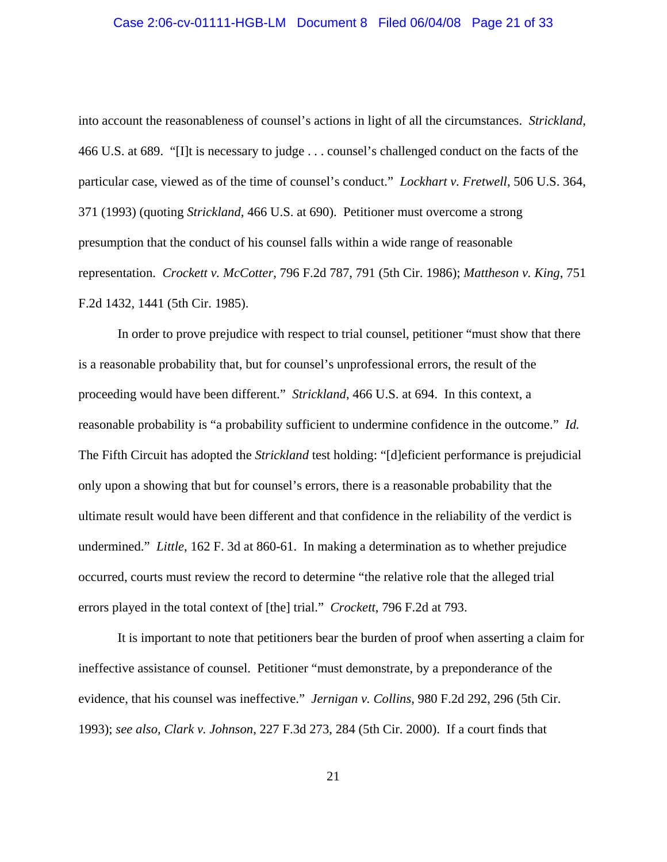# Case 2:06-cv-01111-HGB-LM Document 8 Filed 06/04/08 Page 21 of 33

into account the reasonableness of counsel's actions in light of all the circumstances. *Strickland*, 466 U.S. at 689. "[I]t is necessary to judge . . . counsel's challenged conduct on the facts of the particular case, viewed as of the time of counsel's conduct." *Lockhart v. Fretwell*, 506 U.S. 364, 371 (1993) (quoting *Strickland*, 466 U.S. at 690). Petitioner must overcome a strong presumption that the conduct of his counsel falls within a wide range of reasonable representation. *Crockett v. McCotter*, 796 F.2d 787, 791 (5th Cir. 1986); *Mattheson v. King*, 751 F.2d 1432, 1441 (5th Cir. 1985).

In order to prove prejudice with respect to trial counsel, petitioner "must show that there is a reasonable probability that, but for counsel's unprofessional errors, the result of the proceeding would have been different." *Strickland*, 466 U.S. at 694. In this context, a reasonable probability is "a probability sufficient to undermine confidence in the outcome." *Id.*  The Fifth Circuit has adopted the *Strickland* test holding: "[d]eficient performance is prejudicial only upon a showing that but for counsel's errors, there is a reasonable probability that the ultimate result would have been different and that confidence in the reliability of the verdict is undermined." *Little*, 162 F. 3d at 860-61. In making a determination as to whether prejudice occurred, courts must review the record to determine "the relative role that the alleged trial errors played in the total context of [the] trial." *Crockett*, 796 F.2d at 793.

It is important to note that petitioners bear the burden of proof when asserting a claim for ineffective assistance of counsel. Petitioner "must demonstrate, by a preponderance of the evidence, that his counsel was ineffective." *Jernigan v. Collins*, 980 F.2d 292, 296 (5th Cir. 1993); *see also, Clark v. Johnson*, 227 F.3d 273, 284 (5th Cir. 2000). If a court finds that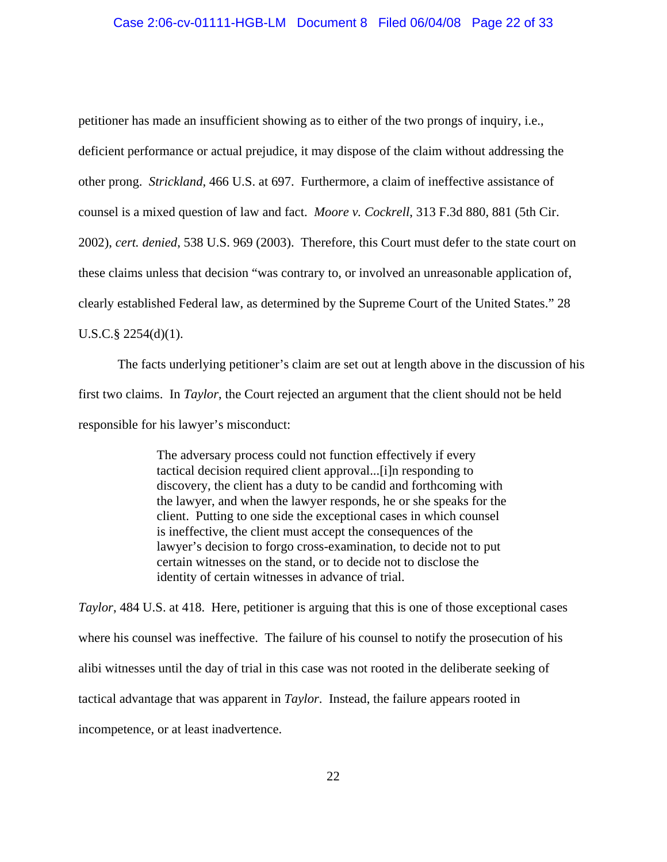## Case 2:06-cv-01111-HGB-LM Document 8 Filed 06/04/08 Page 22 of 33

petitioner has made an insufficient showing as to either of the two prongs of inquiry, i.e., deficient performance or actual prejudice, it may dispose of the claim without addressing the other prong. *Strickland*, 466 U.S. at 697. Furthermore, a claim of ineffective assistance of counsel is a mixed question of law and fact. *Moore v. Cockrell*, 313 F.3d 880, 881 (5th Cir. 2002), *cert. denied*, 538 U.S. 969 (2003). Therefore, this Court must defer to the state court on these claims unless that decision "was contrary to, or involved an unreasonable application of, clearly established Federal law, as determined by the Supreme Court of the United States." 28  $U.S.C.\$ § 2254(d)(1).

The facts underlying petitioner's claim are set out at length above in the discussion of his first two claims. In *Taylor*, the Court rejected an argument that the client should not be held responsible for his lawyer's misconduct:

> The adversary process could not function effectively if every tactical decision required client approval...[i]n responding to discovery, the client has a duty to be candid and forthcoming with the lawyer, and when the lawyer responds, he or she speaks for the client. Putting to one side the exceptional cases in which counsel is ineffective, the client must accept the consequences of the lawyer's decision to forgo cross-examination, to decide not to put certain witnesses on the stand, or to decide not to disclose the identity of certain witnesses in advance of trial.

*Taylor*, 484 U.S. at 418. Here, petitioner is arguing that this is one of those exceptional cases where his counsel was ineffective. The failure of his counsel to notify the prosecution of his alibi witnesses until the day of trial in this case was not rooted in the deliberate seeking of tactical advantage that was apparent in *Taylor*. Instead, the failure appears rooted in incompetence, or at least inadvertence.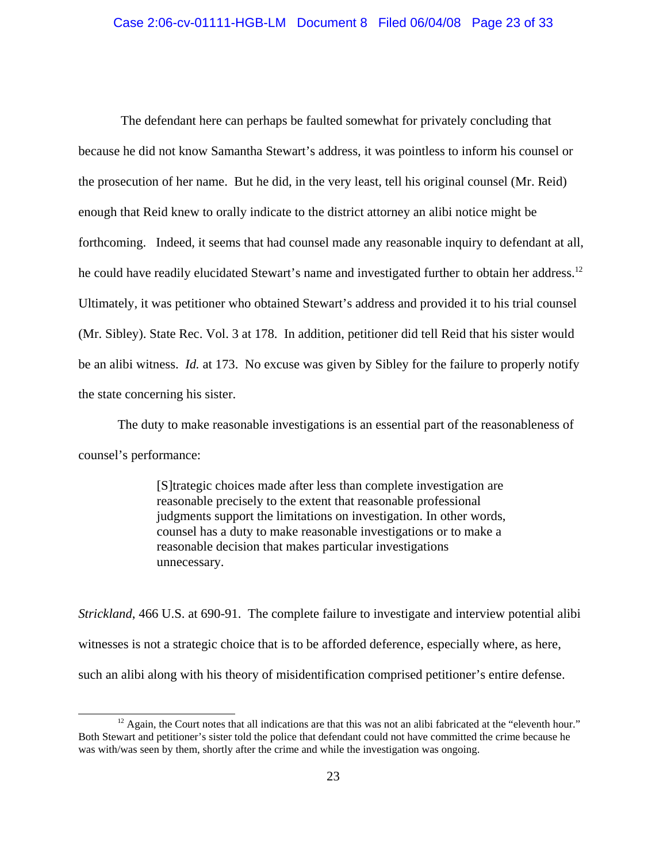The defendant here can perhaps be faulted somewhat for privately concluding that because he did not know Samantha Stewart's address, it was pointless to inform his counsel or the prosecution of her name. But he did, in the very least, tell his original counsel (Mr. Reid) enough that Reid knew to orally indicate to the district attorney an alibi notice might be forthcoming. Indeed, it seems that had counsel made any reasonable inquiry to defendant at all, he could have readily elucidated Stewart's name and investigated further to obtain her address.<sup>12</sup> Ultimately, it was petitioner who obtained Stewart's address and provided it to his trial counsel (Mr. Sibley). State Rec. Vol. 3 at 178. In addition, petitioner did tell Reid that his sister would be an alibi witness. *Id.* at 173. No excuse was given by Sibley for the failure to properly notify the state concerning his sister.

The duty to make reasonable investigations is an essential part of the reasonableness of counsel's performance:

> [S]trategic choices made after less than complete investigation are reasonable precisely to the extent that reasonable professional judgments support the limitations on investigation. In other words, counsel has a duty to make reasonable investigations or to make a reasonable decision that makes particular investigations unnecessary.

*Strickland*, 466 U.S. at 690-91. The complete failure to investigate and interview potential alibi witnesses is not a strategic choice that is to be afforded deference, especially where, as here, such an alibi along with his theory of misidentification comprised petitioner's entire defense.

 $12$  Again, the Court notes that all indications are that this was not an alibi fabricated at the "eleventh hour." Both Stewart and petitioner's sister told the police that defendant could not have committed the crime because he was with/was seen by them, shortly after the crime and while the investigation was ongoing.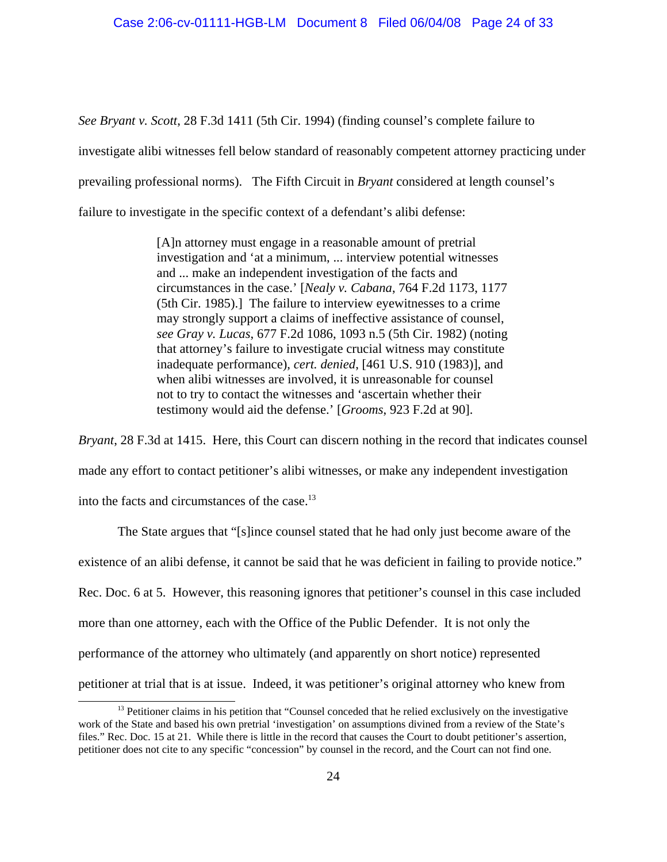*See Bryant v. Scott*, 28 F.3d 1411 (5th Cir. 1994) (finding counsel's complete failure to investigate alibi witnesses fell below standard of reasonably competent attorney practicing under prevailing professional norms). The Fifth Circuit in *Bryant* considered at length counsel's failure to investigate in the specific context of a defendant's alibi defense:

> [A]n attorney must engage in a reasonable amount of pretrial investigation and 'at a minimum, ... interview potential witnesses and ... make an independent investigation of the facts and circumstances in the case.' [*Nealy v. Cabana*, 764 F.2d 1173, 1177 (5th Cir. 1985).] The failure to interview eyewitnesses to a crime may strongly support a claims of ineffective assistance of counsel, *see Gray v. Lucas*, 677 F.2d 1086, 1093 n.5 (5th Cir. 1982) (noting that attorney's failure to investigate crucial witness may constitute inadequate performance), *cert. denied*, [461 U.S. 910 (1983)], and when alibi witnesses are involved, it is unreasonable for counsel not to try to contact the witnesses and 'ascertain whether their testimony would aid the defense.' [*Grooms*, 923 F.2d at 90].

*Bryant*, 28 F.3d at 1415. Here, this Court can discern nothing in the record that indicates counsel made any effort to contact petitioner's alibi witnesses, or make any independent investigation into the facts and circumstances of the case.<sup>13</sup>

The State argues that "[s]ince counsel stated that he had only just become aware of the existence of an alibi defense, it cannot be said that he was deficient in failing to provide notice." Rec. Doc. 6 at 5. However, this reasoning ignores that petitioner's counsel in this case included more than one attorney, each with the Office of the Public Defender. It is not only the performance of the attorney who ultimately (and apparently on short notice) represented petitioner at trial that is at issue. Indeed, it was petitioner's original attorney who knew from

<sup>&</sup>lt;sup>13</sup> Petitioner claims in his petition that "Counsel conceded that he relied exclusively on the investigative work of the State and based his own pretrial 'investigation' on assumptions divined from a review of the State's files." Rec. Doc. 15 at 21. While there is little in the record that causes the Court to doubt petitioner's assertion, petitioner does not cite to any specific "concession" by counsel in the record, and the Court can not find one.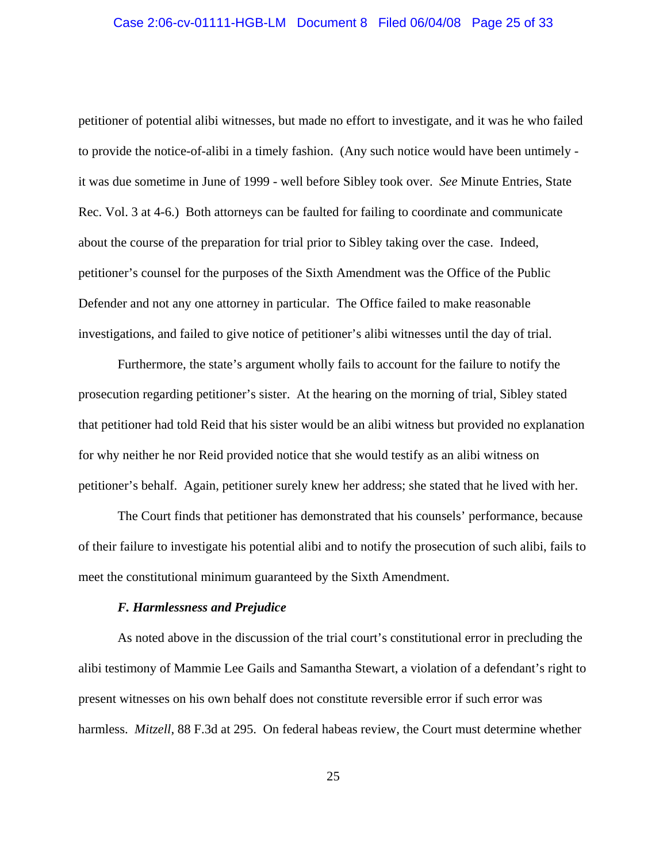# Case 2:06-cv-01111-HGB-LM Document 8 Filed 06/04/08 Page 25 of 33

petitioner of potential alibi witnesses, but made no effort to investigate, and it was he who failed to provide the notice-of-alibi in a timely fashion. (Any such notice would have been untimely it was due sometime in June of 1999 - well before Sibley took over. *See* Minute Entries, State Rec. Vol. 3 at 4-6.) Both attorneys can be faulted for failing to coordinate and communicate about the course of the preparation for trial prior to Sibley taking over the case. Indeed, petitioner's counsel for the purposes of the Sixth Amendment was the Office of the Public Defender and not any one attorney in particular. The Office failed to make reasonable investigations, and failed to give notice of petitioner's alibi witnesses until the day of trial.

Furthermore, the state's argument wholly fails to account for the failure to notify the prosecution regarding petitioner's sister. At the hearing on the morning of trial, Sibley stated that petitioner had told Reid that his sister would be an alibi witness but provided no explanation for why neither he nor Reid provided notice that she would testify as an alibi witness on petitioner's behalf. Again, petitioner surely knew her address; she stated that he lived with her.

The Court finds that petitioner has demonstrated that his counsels' performance, because of their failure to investigate his potential alibi and to notify the prosecution of such alibi, fails to meet the constitutional minimum guaranteed by the Sixth Amendment.

## *F. Harmlessness and Prejudice*

As noted above in the discussion of the trial court's constitutional error in precluding the alibi testimony of Mammie Lee Gails and Samantha Stewart, a violation of a defendant's right to present witnesses on his own behalf does not constitute reversible error if such error was harmless. *Mitzell*, 88 F.3d at 295. On federal habeas review, the Court must determine whether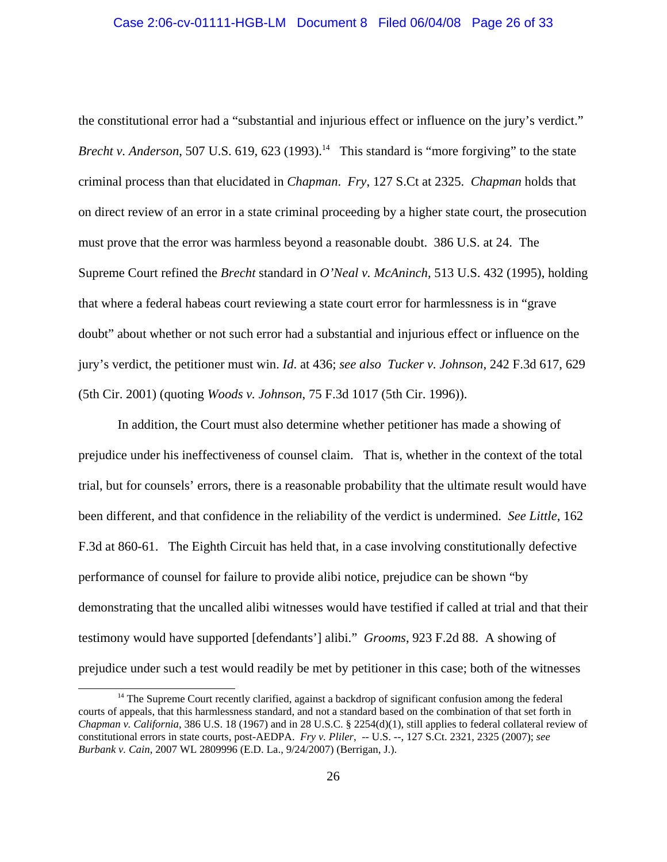# Case 2:06-cv-01111-HGB-LM Document 8 Filed 06/04/08 Page 26 of 33

the constitutional error had a "substantial and injurious effect or influence on the jury's verdict." *Brecht v. Anderson*, 507 U.S. 619, 623 (1993).<sup>14</sup> This standard is "more forgiving" to the state criminal process than that elucidated in *Chapman*. *Fry*, 127 S.Ct at 2325. *Chapman* holds that on direct review of an error in a state criminal proceeding by a higher state court, the prosecution must prove that the error was harmless beyond a reasonable doubt. 386 U.S. at 24. The Supreme Court refined the *Brecht* standard in *O'Neal v. McAninch*, 513 U.S. 432 (1995), holding that where a federal habeas court reviewing a state court error for harmlessness is in "grave doubt" about whether or not such error had a substantial and injurious effect or influence on the jury's verdict, the petitioner must win. *Id*. at 436; *see also Tucker v. Johnson*, 242 F.3d 617, 629 (5th Cir. 2001) (quoting *Woods v. Johnson*, 75 F.3d 1017 (5th Cir. 1996)).

In addition, the Court must also determine whether petitioner has made a showing of prejudice under his ineffectiveness of counsel claim. That is, whether in the context of the total trial, but for counsels' errors, there is a reasonable probability that the ultimate result would have been different, and that confidence in the reliability of the verdict is undermined. *See Little*, 162 F.3d at 860-61. The Eighth Circuit has held that, in a case involving constitutionally defective performance of counsel for failure to provide alibi notice, prejudice can be shown "by demonstrating that the uncalled alibi witnesses would have testified if called at trial and that their testimony would have supported [defendants'] alibi." *Grooms*, 923 F.2d 88. A showing of prejudice under such a test would readily be met by petitioner in this case; both of the witnesses

<sup>&</sup>lt;sup>14</sup> The Supreme Court recently clarified, against a backdrop of significant confusion among the federal courts of appeals, that this harmlessness standard, and not a standard based on the combination of that set forth in *Chapman v. California*, 386 U.S. 18 (1967) and in 28 U.S.C. § 2254(d)(1), still applies to federal collateral review of constitutional errors in state courts, post-AEDPA. *Fry v. Pliler*, -- U.S. --, 127 S.Ct. 2321, 2325 (2007); *see Burbank v. Cain*, 2007 WL 2809996 (E.D. La., 9/24/2007) (Berrigan, J.).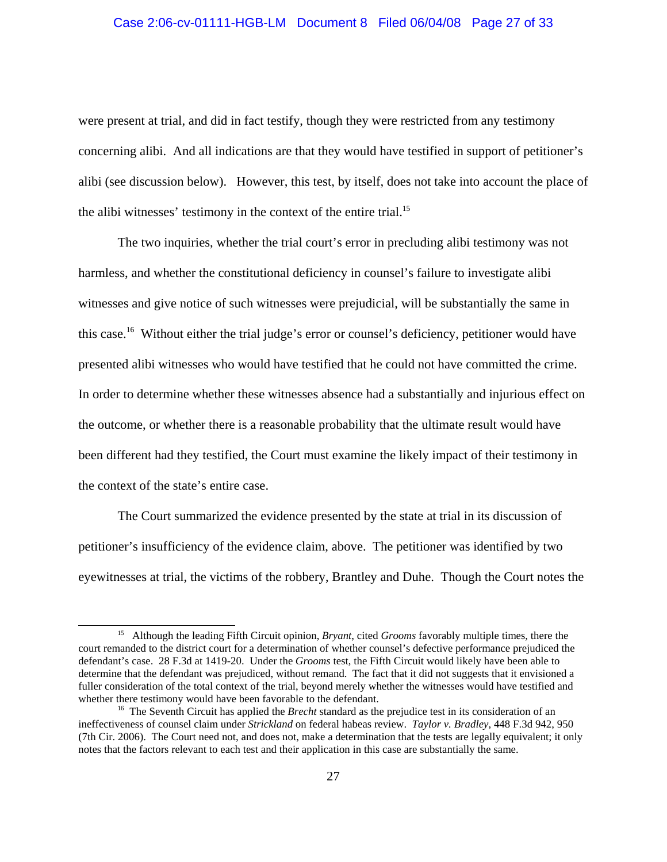# Case 2:06-cv-01111-HGB-LM Document 8 Filed 06/04/08 Page 27 of 33

were present at trial, and did in fact testify, though they were restricted from any testimony concerning alibi. And all indications are that they would have testified in support of petitioner's alibi (see discussion below). However, this test, by itself, does not take into account the place of the alibi witnesses' testimony in the context of the entire trial.<sup>15</sup>

The two inquiries, whether the trial court's error in precluding alibi testimony was not harmless, and whether the constitutional deficiency in counsel's failure to investigate alibi witnesses and give notice of such witnesses were prejudicial, will be substantially the same in this case.16 Without either the trial judge's error or counsel's deficiency, petitioner would have presented alibi witnesses who would have testified that he could not have committed the crime. In order to determine whether these witnesses absence had a substantially and injurious effect on the outcome, or whether there is a reasonable probability that the ultimate result would have been different had they testified, the Court must examine the likely impact of their testimony in the context of the state's entire case.

The Court summarized the evidence presented by the state at trial in its discussion of petitioner's insufficiency of the evidence claim, above. The petitioner was identified by two eyewitnesses at trial, the victims of the robbery, Brantley and Duhe. Though the Court notes the

<sup>15</sup> Although the leading Fifth Circuit opinion, *Bryant*, cited *Grooms* favorably multiple times, there the court remanded to the district court for a determination of whether counsel's defective performance prejudiced the defendant's case. 28 F.3d at 1419-20. Under the *Grooms* test, the Fifth Circuit would likely have been able to determine that the defendant was prejudiced, without remand. The fact that it did not suggests that it envisioned a fuller consideration of the total context of the trial, beyond merely whether the witnesses would have testified and whether there testimony would have been favorable to the defendant.<br><sup>16</sup> The Seventh Circuit has applied the *Brecht* standard as the prejudice test in its consideration of an

ineffectiveness of counsel claim under *Strickland* on federal habeas review. *Taylor v. Bradley*, 448 F.3d 942, 950 (7th Cir. 2006). The Court need not, and does not, make a determination that the tests are legally equivalent; it only notes that the factors relevant to each test and their application in this case are substantially the same.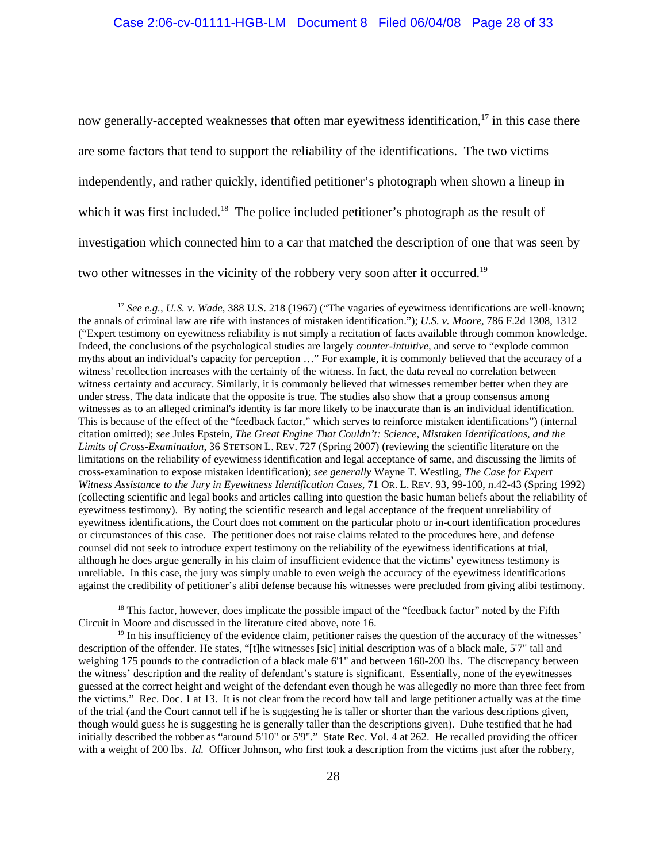now generally-accepted weaknesses that often mar eyewitness identification, $17$  in this case there are some factors that tend to support the reliability of the identifications. The two victims independently, and rather quickly, identified petitioner's photograph when shown a lineup in which it was first included.<sup>18</sup> The police included petitioner's photograph as the result of investigation which connected him to a car that matched the description of one that was seen by two other witnesses in the vicinity of the robbery very soon after it occurred.<sup>19</sup>

<sup>18</sup> This factor, however, does implicate the possible impact of the "feedback factor" noted by the Fifth Circuit in Moore and discussed in the literature cited above, note 16.

<sup>19</sup> In his insufficiency of the evidence claim, petitioner raises the question of the accuracy of the witnesses' description of the offender. He states, "[t]he witnesses [sic] initial description was of a black male, 5'7" tall and weighing 175 pounds to the contradiction of a black male 6'1" and between 160-200 lbs. The discrepancy between the witness' description and the reality of defendant's stature is significant. Essentially, none of the eyewitnesses guessed at the correct height and weight of the defendant even though he was allegedly no more than three feet from the victims." Rec. Doc. 1 at 13. It is not clear from the record how tall and large petitioner actually was at the time of the trial (and the Court cannot tell if he is suggesting he is taller or shorter than the various descriptions given, though would guess he is suggesting he is generally taller than the descriptions given). Duhe testified that he had initially described the robber as "around 5'10" or 5'9"." State Rec. Vol. 4 at 262. He recalled providing the officer with a weight of 200 lbs. *Id.* Officer Johnson, who first took a description from the victims just after the robbery,

<sup>&</sup>lt;sup>17</sup> See e.g., U.S. v. Wade, 388 U.S. 218 (1967) ("The vagaries of eyewitness identifications are well-known; the annals of criminal law are rife with instances of mistaken identification."); *U.S. v. Moore*, 786 F.2d 1308, 1312 ("Expert testimony on eyewitness reliability is not simply a recitation of facts available through common knowledge. Indeed, the conclusions of the psychological studies are largely *counter-intuitive,* and serve to "explode common myths about an individual's capacity for perception …" For example, it is commonly believed that the accuracy of a witness' recollection increases with the certainty of the witness. In fact, the data reveal no correlation between witness certainty and accuracy. Similarly, it is commonly believed that witnesses remember better when they are under stress. The data indicate that the opposite is true. The studies also show that a group consensus among witnesses as to an alleged criminal's identity is far more likely to be inaccurate than is an individual identification. This is because of the effect of the "feedback factor," which serves to reinforce mistaken identifications") (internal citation omitted); *see* Jules Epstein, *The Great Engine That Couldn't: Science, Mistaken Identifications, and the Limits of Cross-Examination*, 36 STETSON L. REV. 727 (Spring 2007) (reviewing the scientific literature on the limitations on the reliability of eyewitness identification and legal acceptance of same, and discussing the limits of cross-examination to expose mistaken identification); *see generally* Wayne T. Westling, *The Case for Expert Witness Assistance to the Jury in Eyewitness Identification Cases*, 71 OR. L. REV. 93, 99-100, n.42-43 (Spring 1992) (collecting scientific and legal books and articles calling into question the basic human beliefs about the reliability of eyewitness testimony). By noting the scientific research and legal acceptance of the frequent unreliability of eyewitness identifications, the Court does not comment on the particular photo or in-court identification procedures or circumstances of this case. The petitioner does not raise claims related to the procedures here, and defense counsel did not seek to introduce expert testimony on the reliability of the eyewitness identifications at trial, although he does argue generally in his claim of insufficient evidence that the victims' eyewitness testimony is unreliable. In this case, the jury was simply unable to even weigh the accuracy of the eyewitness identifications against the credibility of petitioner's alibi defense because his witnesses were precluded from giving alibi testimony.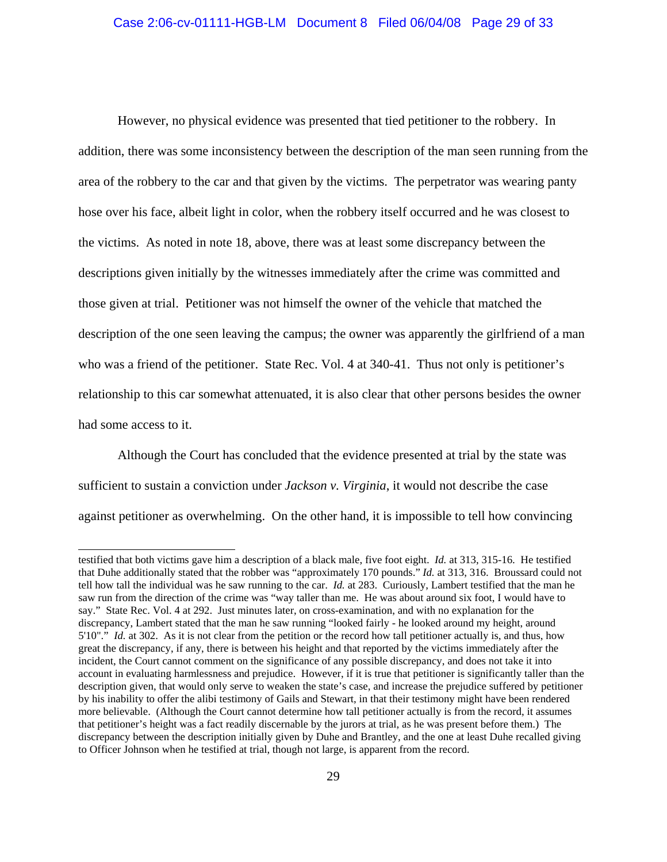However, no physical evidence was presented that tied petitioner to the robbery. In addition, there was some inconsistency between the description of the man seen running from the area of the robbery to the car and that given by the victims. The perpetrator was wearing panty hose over his face, albeit light in color, when the robbery itself occurred and he was closest to the victims. As noted in note 18, above, there was at least some discrepancy between the descriptions given initially by the witnesses immediately after the crime was committed and those given at trial. Petitioner was not himself the owner of the vehicle that matched the description of the one seen leaving the campus; the owner was apparently the girlfriend of a man who was a friend of the petitioner. State Rec. Vol. 4 at 340-41. Thus not only is petitioner's relationship to this car somewhat attenuated, it is also clear that other persons besides the owner had some access to it.

Although the Court has concluded that the evidence presented at trial by the state was sufficient to sustain a conviction under *Jackson v. Virginia*, it would not describe the case against petitioner as overwhelming. On the other hand, it is impossible to tell how convincing

testified that both victims gave him a description of a black male, five foot eight. *Id.* at 313, 315-16. He testified that Duhe additionally stated that the robber was "approximately 170 pounds." *Id.* at 313, 316. Broussard could not tell how tall the individual was he saw running to the car. *Id.* at 283. Curiously, Lambert testified that the man he saw run from the direction of the crime was "way taller than me. He was about around six foot, I would have to say." State Rec. Vol. 4 at 292. Just minutes later, on cross-examination, and with no explanation for the discrepancy, Lambert stated that the man he saw running "looked fairly - he looked around my height, around 5'10"." *Id.* at 302. As it is not clear from the petition or the record how tall petitioner actually is, and thus, how great the discrepancy, if any, there is between his height and that reported by the victims immediately after the incident, the Court cannot comment on the significance of any possible discrepancy, and does not take it into account in evaluating harmlessness and prejudice. However, if it is true that petitioner is significantly taller than the description given, that would only serve to weaken the state's case, and increase the prejudice suffered by petitioner by his inability to offer the alibi testimony of Gails and Stewart, in that their testimony might have been rendered more believable. (Although the Court cannot determine how tall petitioner actually is from the record, it assumes that petitioner's height was a fact readily discernable by the jurors at trial, as he was present before them.) The discrepancy between the description initially given by Duhe and Brantley, and the one at least Duhe recalled giving to Officer Johnson when he testified at trial, though not large, is apparent from the record.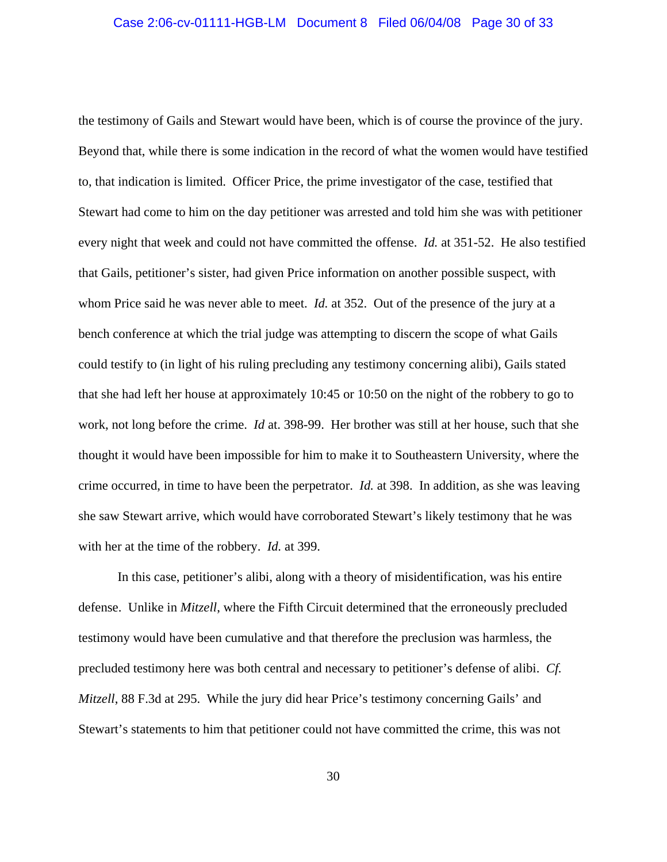the testimony of Gails and Stewart would have been, which is of course the province of the jury. Beyond that, while there is some indication in the record of what the women would have testified to, that indication is limited. Officer Price, the prime investigator of the case, testified that Stewart had come to him on the day petitioner was arrested and told him she was with petitioner every night that week and could not have committed the offense. *Id.* at 351-52. He also testified that Gails, petitioner's sister, had given Price information on another possible suspect, with whom Price said he was never able to meet. *Id.* at 352. Out of the presence of the jury at a bench conference at which the trial judge was attempting to discern the scope of what Gails could testify to (in light of his ruling precluding any testimony concerning alibi), Gails stated that she had left her house at approximately 10:45 or 10:50 on the night of the robbery to go to work, not long before the crime. *Id* at. 398-99. Her brother was still at her house, such that she thought it would have been impossible for him to make it to Southeastern University, where the crime occurred, in time to have been the perpetrator. *Id.* at 398. In addition, as she was leaving she saw Stewart arrive, which would have corroborated Stewart's likely testimony that he was with her at the time of the robbery. *Id.* at 399.

In this case, petitioner's alibi, along with a theory of misidentification, was his entire defense. Unlike in *Mitzell*, where the Fifth Circuit determined that the erroneously precluded testimony would have been cumulative and that therefore the preclusion was harmless, the precluded testimony here was both central and necessary to petitioner's defense of alibi. *Cf. Mitzell*, 88 F.3d at 295. While the jury did hear Price's testimony concerning Gails' and Stewart's statements to him that petitioner could not have committed the crime, this was not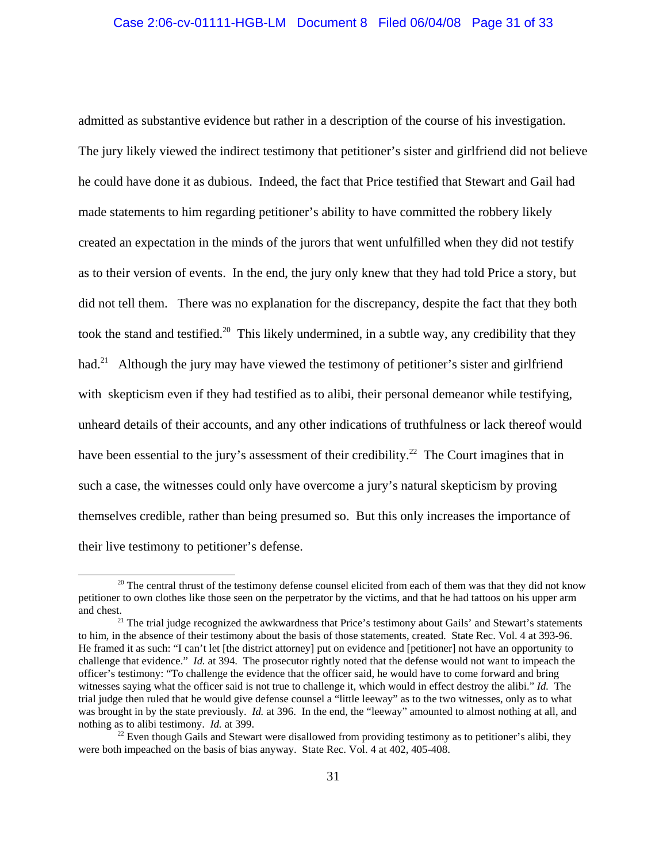admitted as substantive evidence but rather in a description of the course of his investigation. The jury likely viewed the indirect testimony that petitioner's sister and girlfriend did not believe he could have done it as dubious. Indeed, the fact that Price testified that Stewart and Gail had made statements to him regarding petitioner's ability to have committed the robbery likely created an expectation in the minds of the jurors that went unfulfilled when they did not testify as to their version of events. In the end, the jury only knew that they had told Price a story, but did not tell them. There was no explanation for the discrepancy, despite the fact that they both took the stand and testified.<sup>20</sup> This likely undermined, in a subtle way, any credibility that they had.<sup>21</sup> Although the jury may have viewed the testimony of petitioner's sister and girlfriend with skepticism even if they had testified as to alibi, their personal demeanor while testifying, unheard details of their accounts, and any other indications of truthfulness or lack thereof would have been essential to the jury's assessment of their credibility.<sup>22</sup> The Court imagines that in such a case, the witnesses could only have overcome a jury's natural skepticism by proving themselves credible, rather than being presumed so. But this only increases the importance of their live testimony to petitioner's defense.

<sup>&</sup>lt;sup>20</sup> The central thrust of the testimony defense counsel elicited from each of them was that they did not know petitioner to own clothes like those seen on the perpetrator by the victims, and that he had tattoos on his upper arm and chest.<br><sup>21</sup> The trial judge recognized the awkwardness that Price's testimony about Gails' and Stewart's statements

to him, in the absence of their testimony about the basis of those statements, created. State Rec. Vol. 4 at 393-96. He framed it as such: "I can't let [the district attorney] put on evidence and [petitioner] not have an opportunity to challenge that evidence." *Id.* at 394. The prosecutor rightly noted that the defense would not want to impeach the officer's testimony: "To challenge the evidence that the officer said, he would have to come forward and bring witnesses saying what the officer said is not true to challenge it, which would in effect destroy the alibi." *Id.* The trial judge then ruled that he would give defense counsel a "little leeway" as to the two witnesses, only as to what was brought in by the state previously. *Id.* at 396. In the end, the "leeway" amounted to almost nothing at all, and nothing as to alibi testimony. *Id.* at 399.<br><sup>22</sup> Even though Gails and Stewart were disallowed from providing testimony as to petitioner's alibi, they

were both impeached on the basis of bias anyway. State Rec. Vol. 4 at 402, 405-408.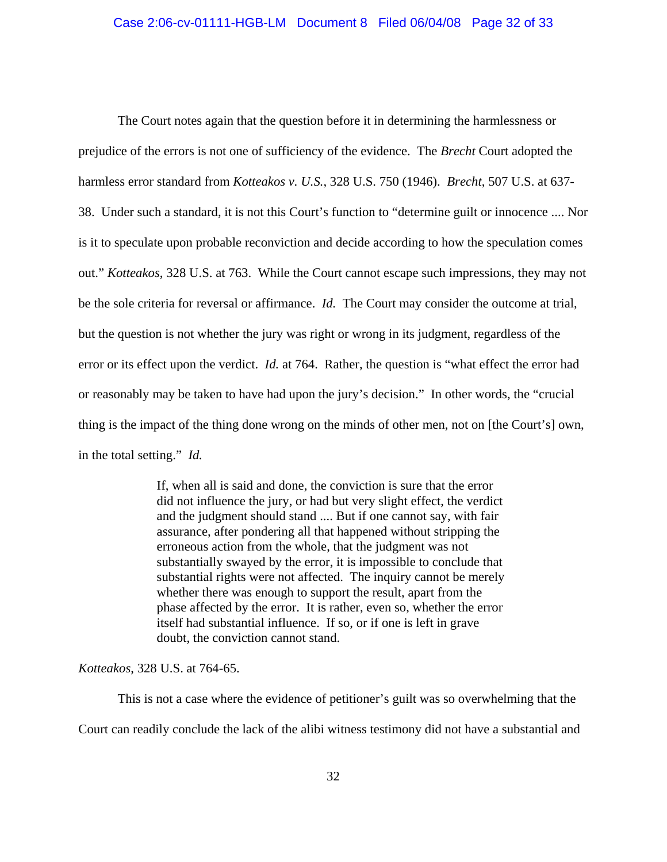The Court notes again that the question before it in determining the harmlessness or prejudice of the errors is not one of sufficiency of the evidence. The *Brecht* Court adopted the harmless error standard from *Kotteakos v. U.S.*, 328 U.S. 750 (1946). *Brecht*, 507 U.S. at 637- 38. Under such a standard, it is not this Court's function to "determine guilt or innocence .... Nor is it to speculate upon probable reconviction and decide according to how the speculation comes out." *Kotteakos*, 328 U.S. at 763. While the Court cannot escape such impressions, they may not be the sole criteria for reversal or affirmance. *Id.* The Court may consider the outcome at trial, but the question is not whether the jury was right or wrong in its judgment, regardless of the error or its effect upon the verdict. *Id.* at 764. Rather, the question is "what effect the error had or reasonably may be taken to have had upon the jury's decision." In other words, the "crucial thing is the impact of the thing done wrong on the minds of other men, not on [the Court's] own, in the total setting." *Id.*

> If, when all is said and done, the conviction is sure that the error did not influence the jury, or had but very slight effect, the verdict and the judgment should stand .... But if one cannot say, with fair assurance, after pondering all that happened without stripping the erroneous action from the whole, that the judgment was not substantially swayed by the error, it is impossible to conclude that substantial rights were not affected. The inquiry cannot be merely whether there was enough to support the result, apart from the phase affected by the error. It is rather, even so, whether the error itself had substantial influence. If so, or if one is left in grave doubt, the conviction cannot stand.

*Kotteakos*, 328 U.S. at 764-65.

This is not a case where the evidence of petitioner's guilt was so overwhelming that the Court can readily conclude the lack of the alibi witness testimony did not have a substantial and